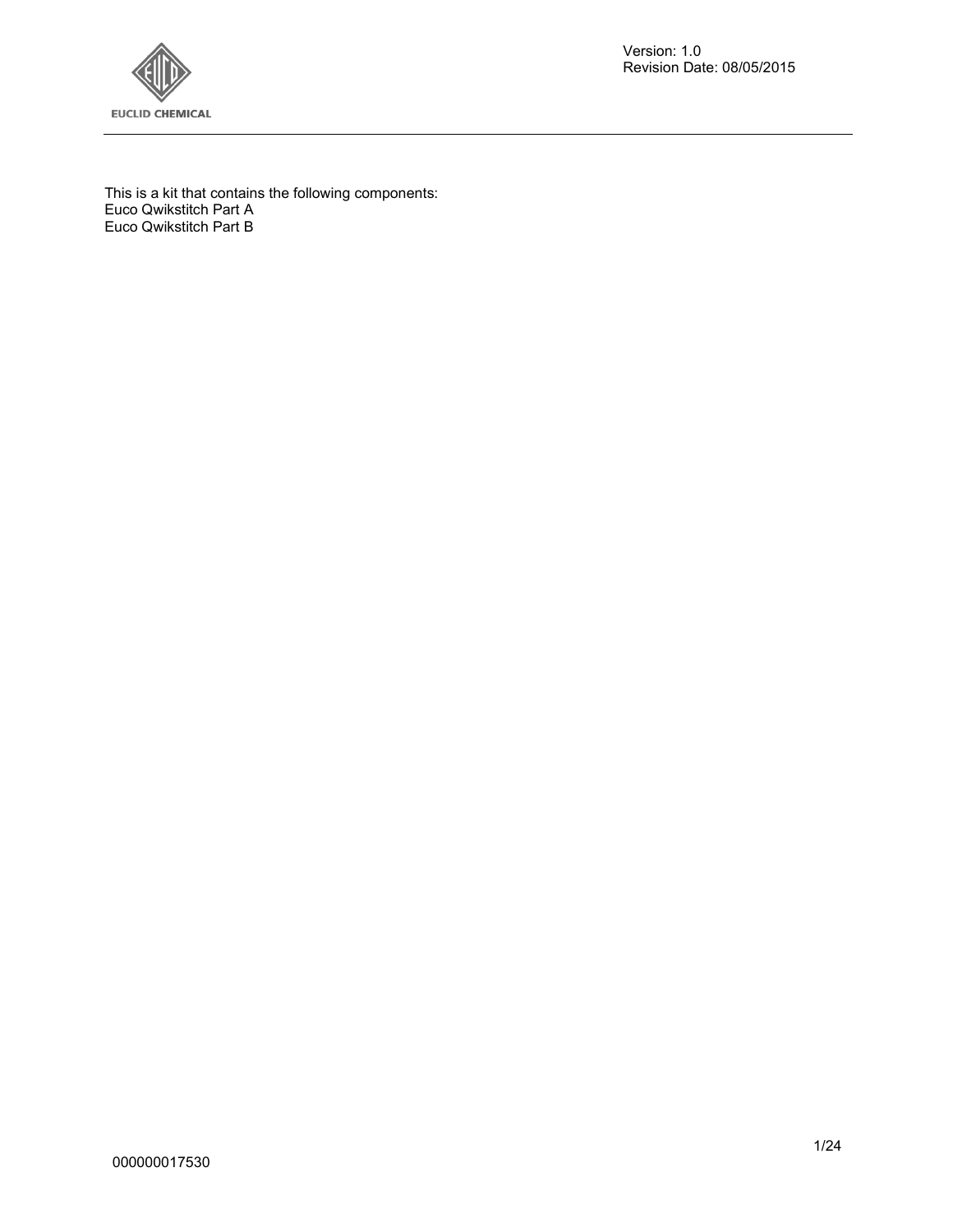

Version: 1.0 Revision Date: 08/05/2015

This is a kit that contains the following components: Euco Qwikstitch Part A Euco Qwikstitch Part B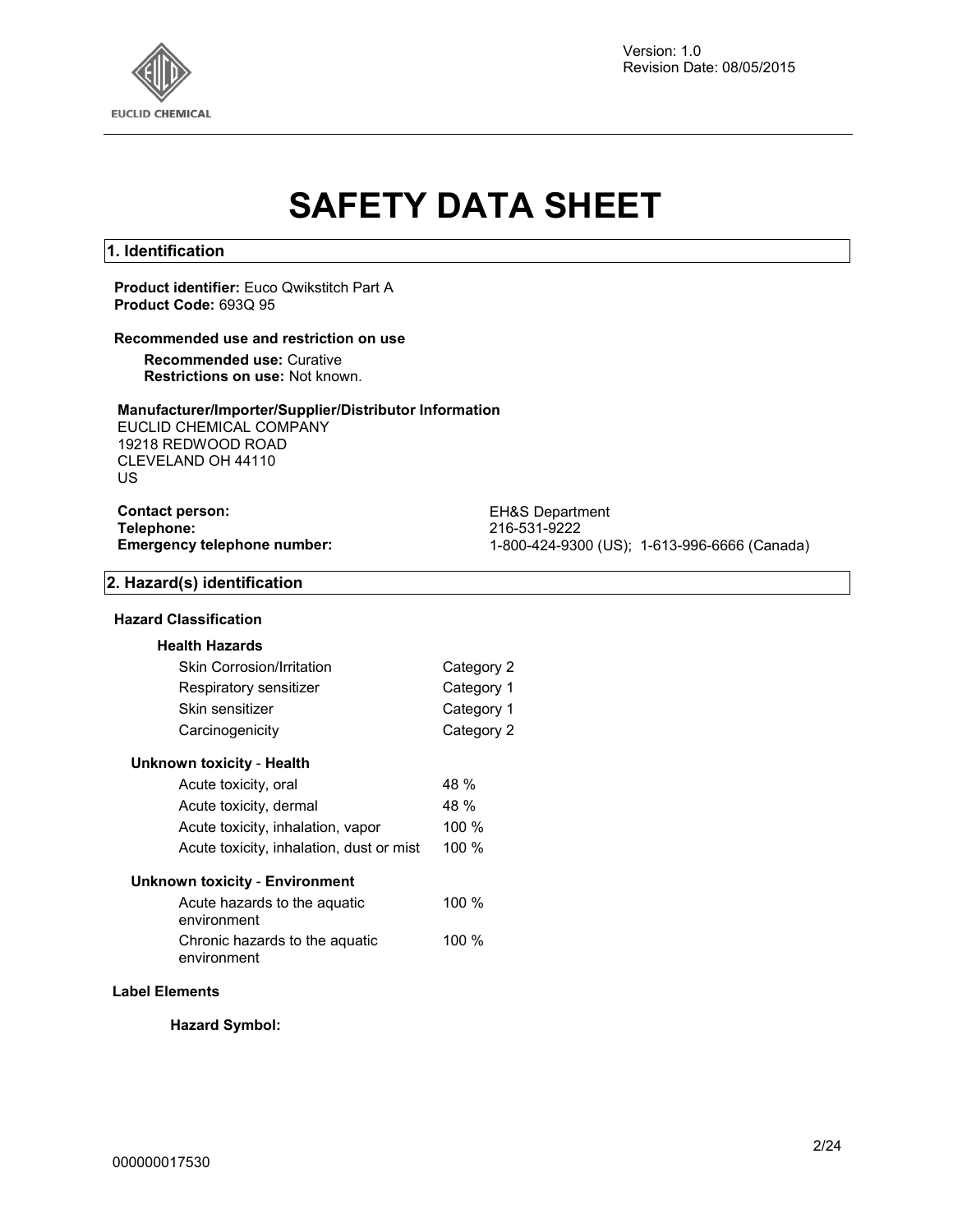

Version: 1.0 Revision Date: 08/05/2015

# **SAFETY DATA SHEET**

#### **1. Identification**

#### **Product identifier:** Euco Qwikstitch Part A **Product Code:** 693Q 95

#### **Recommended use and restriction on use**

**Recommended use:** Curative **Restrictions on use:** Not known.

#### **Manufacturer/Importer/Supplier/Distributor Information**

EUCLID CHEMICAL COMPANY 19218 REDWOOD ROAD CLEVELAND OH 44110 US

| <b>Contact person:</b>      |  |
|-----------------------------|--|
| <b>Telephone:</b>           |  |
| Emergency telephone number: |  |

**EH&S Department Telephone:** 216-531-9222 **Emergency telephone number:** 1-800-424-9300 (US); 1-613-996-6666 (Canada)

#### **2. Hazard(s) identification**

#### **Hazard Classification**

#### **Health Hazards**

| Category 2 |
|------------|
| Category 1 |
| Category 1 |
| Category 2 |
|            |

#### **Unknown toxicity** - **Health**

| Acute toxicity, oral                     | 48 %    |
|------------------------------------------|---------|
| Acute toxicity, dermal                   | 48 %    |
| Acute toxicity, inhalation, vapor        | 100%    |
| Acute toxicity, inhalation, dust or mist | 100 $%$ |
|                                          |         |

#### **Unknown toxicity** - **Environment**

| Acute hazards to the aguatic<br>environment   | 100 $%$ |
|-----------------------------------------------|---------|
| Chronic hazards to the aquatic<br>environment | 100 $%$ |

#### **Label Elements**

**Hazard Symbol:**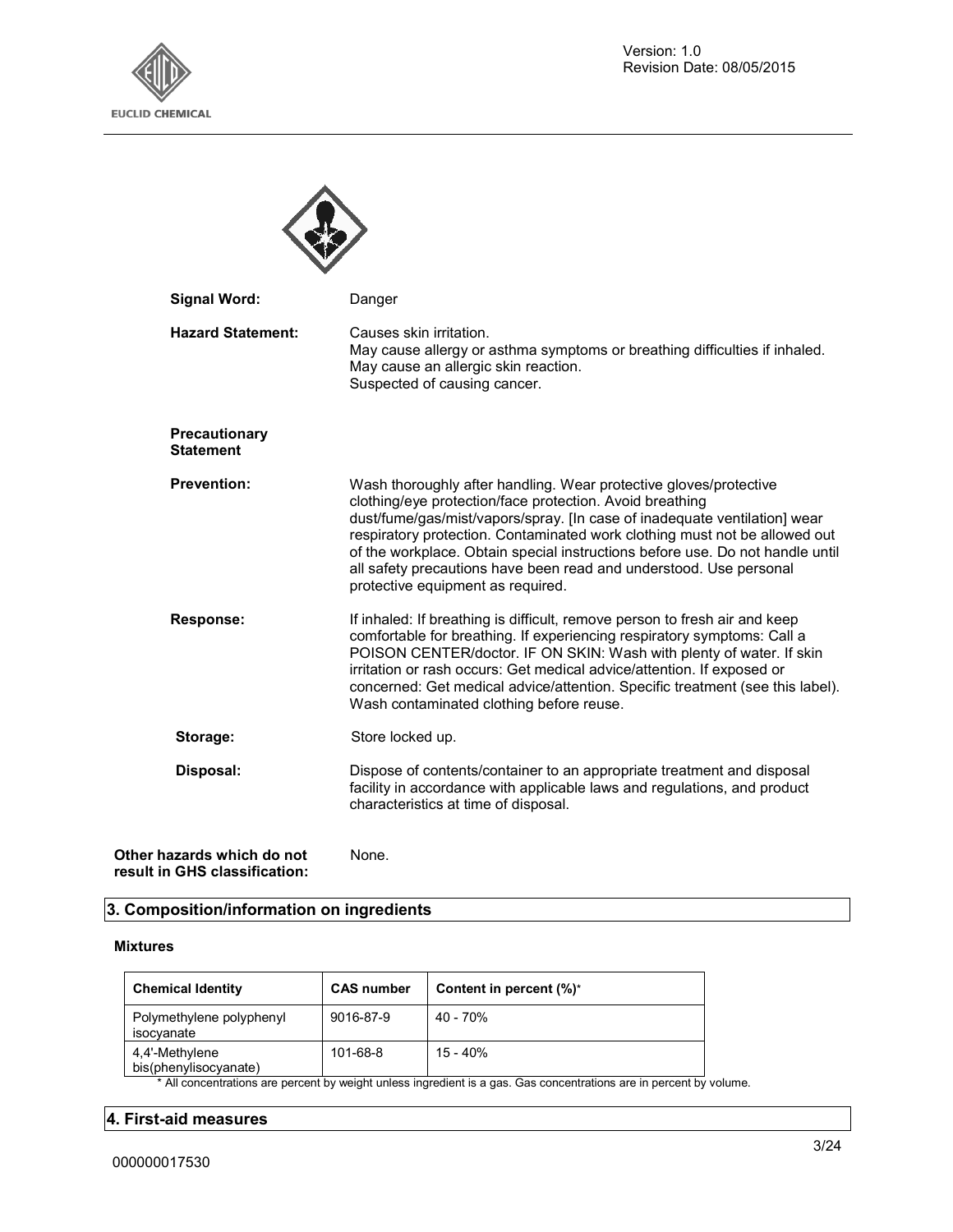

| <b>Signal Word:</b>                      | Danger                                                                                                                                                                                                                                                                                                                                                                                                                                                                               |
|------------------------------------------|--------------------------------------------------------------------------------------------------------------------------------------------------------------------------------------------------------------------------------------------------------------------------------------------------------------------------------------------------------------------------------------------------------------------------------------------------------------------------------------|
| <b>Hazard Statement:</b>                 | Causes skin irritation.<br>May cause allergy or asthma symptoms or breathing difficulties if inhaled.<br>May cause an allergic skin reaction.<br>Suspected of causing cancer.                                                                                                                                                                                                                                                                                                        |
| <b>Precautionary</b><br><b>Statement</b> |                                                                                                                                                                                                                                                                                                                                                                                                                                                                                      |
| <b>Prevention:</b>                       | Wash thoroughly after handling. Wear protective gloves/protective<br>clothing/eye protection/face protection. Avoid breathing<br>dust/fume/gas/mist/vapors/spray. [In case of inadequate ventilation] wear<br>respiratory protection. Contaminated work clothing must not be allowed out<br>of the workplace. Obtain special instructions before use. Do not handle until<br>all safety precautions have been read and understood. Use personal<br>protective equipment as required. |
| Response:                                | If inhaled: If breathing is difficult, remove person to fresh air and keep<br>comfortable for breathing. If experiencing respiratory symptoms: Call a<br>POISON CENTER/doctor. IF ON SKIN: Wash with plenty of water. If skin<br>irritation or rash occurs: Get medical advice/attention. If exposed or<br>concerned: Get medical advice/attention. Specific treatment (see this label).<br>Wash contaminated clothing before reuse.                                                 |

 $\blacktriangle$ 

Storage: Store locked up. **Disposal:** Dispose of contents/container to an appropriate treatment and disposal facility in accordance with applicable laws and regulations, and product characteristics at time of disposal.

#### **Other hazards which do not result in GHS classification:**  None.

#### **3. Composition/information on ingredients**

#### **Mixtures**

| <b>Chemical Identity</b>                | <b>CAS number</b> | Content in percent $(\%)^*$ |
|-----------------------------------------|-------------------|-----------------------------|
| Polymethylene polyphenyl<br>isocyanate  | 9016-87-9         | $40 - 70%$                  |
| 4.4'-Methylene<br>bis(phenylisocyanate) | 101-68-8          | 15 - 40%                    |

\* All concentrations are percent by weight unless ingredient is a gas. Gas concentrations are in percent by volume.

#### **4. First-aid measures**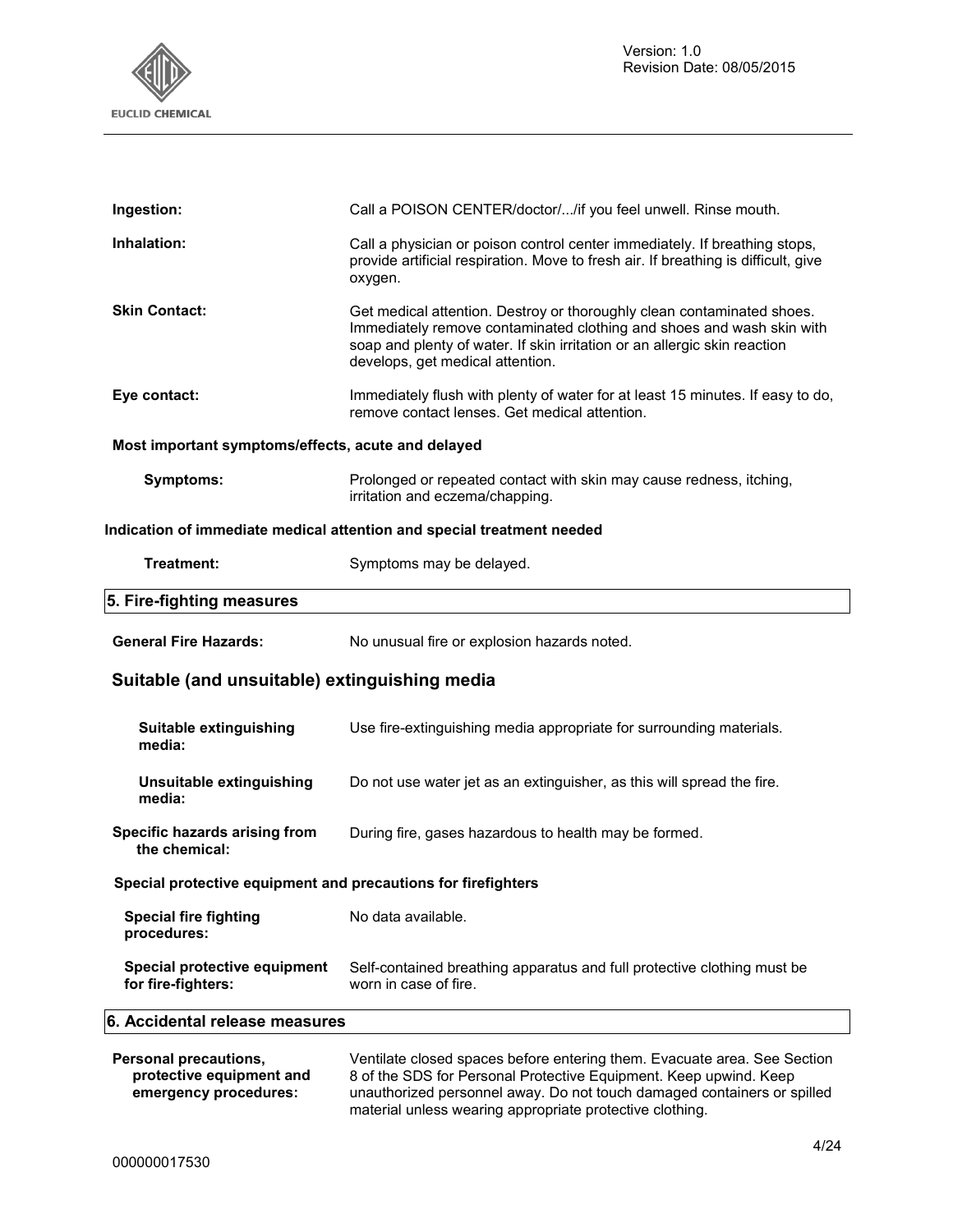

| Ingestion:                                                    | Call a POISON CENTER/doctor//if you feel unwell. Rinse mouth.                                                                                                                                                                                                    |
|---------------------------------------------------------------|------------------------------------------------------------------------------------------------------------------------------------------------------------------------------------------------------------------------------------------------------------------|
| Inhalation:                                                   | Call a physician or poison control center immediately. If breathing stops,<br>provide artificial respiration. Move to fresh air. If breathing is difficult, give<br>oxygen.                                                                                      |
| <b>Skin Contact:</b>                                          | Get medical attention. Destroy or thoroughly clean contaminated shoes.<br>Immediately remove contaminated clothing and shoes and wash skin with<br>soap and plenty of water. If skin irritation or an allergic skin reaction<br>develops, get medical attention. |
| Eye contact:                                                  | Immediately flush with plenty of water for at least 15 minutes. If easy to do,<br>remove contact lenses. Get medical attention.                                                                                                                                  |
| Most important symptoms/effects, acute and delayed            |                                                                                                                                                                                                                                                                  |
| <b>Symptoms:</b>                                              | Prolonged or repeated contact with skin may cause redness, itching,<br>irritation and eczema/chapping.                                                                                                                                                           |
|                                                               | Indication of immediate medical attention and special treatment needed                                                                                                                                                                                           |
| Treatment:                                                    | Symptoms may be delayed.                                                                                                                                                                                                                                         |
| 5. Fire-fighting measures                                     |                                                                                                                                                                                                                                                                  |
| <b>General Fire Hazards:</b>                                  | No unusual fire or explosion hazards noted.                                                                                                                                                                                                                      |
| Suitable (and unsuitable) extinguishing media                 |                                                                                                                                                                                                                                                                  |
| Suitable extinguishing<br>media:                              | Use fire-extinguishing media appropriate for surrounding materials.                                                                                                                                                                                              |
| Unsuitable extinguishing<br>media:                            | Do not use water jet as an extinguisher, as this will spread the fire.                                                                                                                                                                                           |
| Specific hazards arising from<br>the chemical:                | During fire, gases hazardous to health may be formed.                                                                                                                                                                                                            |
| Special protective equipment and precautions for firefighters |                                                                                                                                                                                                                                                                  |
|                                                               |                                                                                                                                                                                                                                                                  |
| <b>Special fire fighting</b><br>procedures:                   | No data available.                                                                                                                                                                                                                                               |
| Special protective equipment<br>for fire-fighters:            | Self-contained breathing apparatus and full protective clothing must be<br>worn in case of fire.                                                                                                                                                                 |

| Personal precautions.    | Ventilate closed spaces before entering them. Evacuate area. See Section |
|--------------------------|--------------------------------------------------------------------------|
| protective equipment and | 8 of the SDS for Personal Protective Equipment. Keep upwind. Keep        |
| emergency procedures:    | unauthorized personnel away. Do not touch damaged containers or spilled  |
|                          | material unless wearing appropriate protective clothing.                 |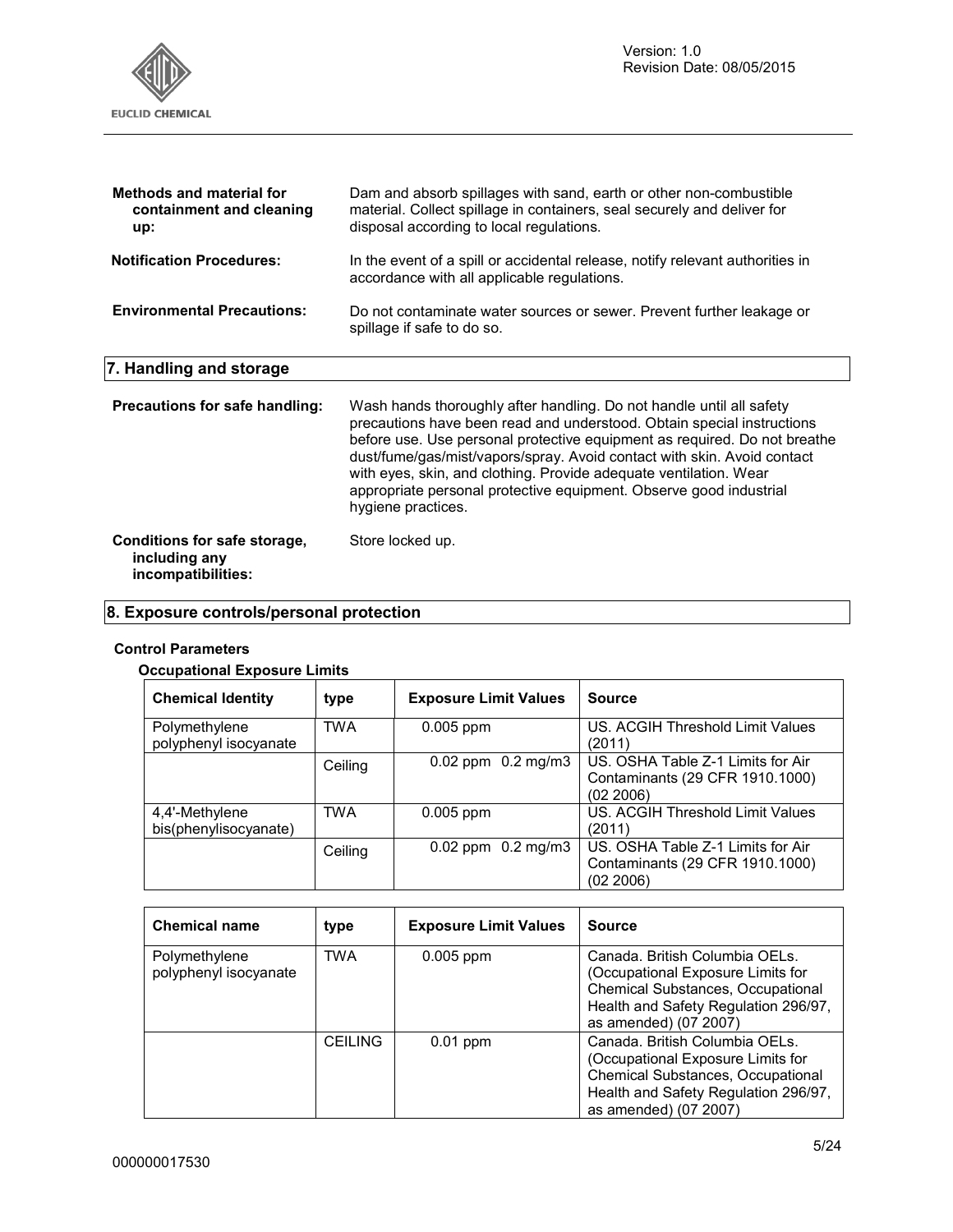

| Methods and material for<br>containment and cleaning<br>up: | Dam and absorb spillages with sand, earth or other non-combustible<br>material. Collect spillage in containers, seal securely and deliver for<br>disposal according to local regulations.                                                                                                                                                                                                                                                                               |
|-------------------------------------------------------------|-------------------------------------------------------------------------------------------------------------------------------------------------------------------------------------------------------------------------------------------------------------------------------------------------------------------------------------------------------------------------------------------------------------------------------------------------------------------------|
| <b>Notification Procedures:</b>                             | In the event of a spill or accidental release, notify relevant authorities in<br>accordance with all applicable regulations.                                                                                                                                                                                                                                                                                                                                            |
| <b>Environmental Precautions:</b>                           | Do not contaminate water sources or sewer. Prevent further leakage or<br>spillage if safe to do so.                                                                                                                                                                                                                                                                                                                                                                     |
| 7. Handling and storage                                     |                                                                                                                                                                                                                                                                                                                                                                                                                                                                         |
| Precautions for safe handling:                              | Wash hands thoroughly after handling. Do not handle until all safety<br>precautions have been read and understood. Obtain special instructions<br>before use. Use personal protective equipment as required. Do not breathe<br>dust/fume/gas/mist/vapors/spray. Avoid contact with skin. Avoid contact<br>with eyes, skin, and clothing. Provide adequate ventilation. Wear<br>appropriate personal protective equipment. Observe good industrial<br>hygiene practices. |
| Conditions for safe storage,<br>including any               | Store locked up.                                                                                                                                                                                                                                                                                                                                                                                                                                                        |

## **8. Exposure controls/personal protection**

#### **Control Parameters**

**incompatibilities:** 

#### **Occupational Exposure Limits**

| <b>Chemical Identity</b>                | type       | <b>Exposure Limit Values</b> | <b>Source</b>                                                                     |
|-----------------------------------------|------------|------------------------------|-----------------------------------------------------------------------------------|
| Polymethylene<br>polyphenyl isocyanate  | <b>TWA</b> | $0.005$ ppm                  | US. ACGIH Threshold Limit Values<br>(2011)                                        |
|                                         | Ceiling    | $0.02$ ppm $0.2$ mg/m3       | US. OSHA Table Z-1 Limits for Air<br>Contaminants (29 CFR 1910.1000)<br>(02 2006) |
| 4,4'-Methylene<br>bis(phenylisocyanate) | <b>TWA</b> | $0.005$ ppm                  | US. ACGIH Threshold Limit Values<br>(2011)                                        |
|                                         | Ceiling    | $0.02$ ppm $0.2$ mg/m3       | US. OSHA Table Z-1 Limits for Air<br>Contaminants (29 CFR 1910.1000)<br>(02 2006) |

| <b>Chemical name</b>                   | type           | <b>Exposure Limit Values</b> | <b>Source</b>                                                                                                                                                                    |
|----------------------------------------|----------------|------------------------------|----------------------------------------------------------------------------------------------------------------------------------------------------------------------------------|
| Polymethylene<br>polyphenyl isocyanate | <b>TWA</b>     | $0.005$ ppm                  | Canada. British Columbia OELs.<br>(Occupational Exposure Limits for<br><b>Chemical Substances, Occupational</b><br>Health and Safety Regulation 296/97,<br>as amended) (07 2007) |
|                                        | <b>CEILING</b> | $0.01$ ppm                   | Canada. British Columbia OELs.<br>(Occupational Exposure Limits for<br>Chemical Substances, Occupational<br>Health and Safety Regulation 296/97,<br>as amended) (07 2007)        |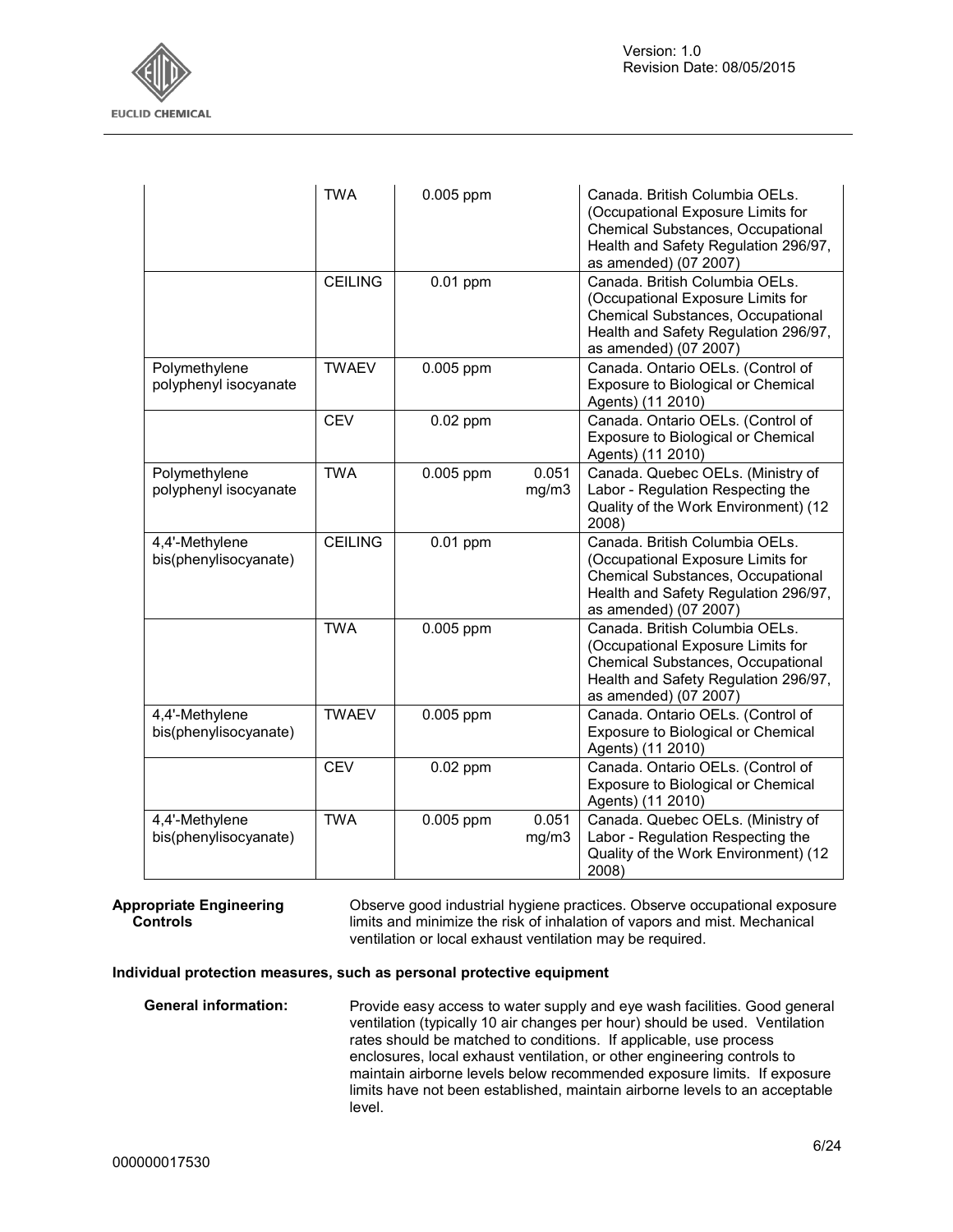

|                                         | <b>TWA</b>     | $0.005$ ppm |                | Canada. British Columbia OELs.<br>(Occupational Exposure Limits for<br>Chemical Substances, Occupational<br>Health and Safety Regulation 296/97,<br>as amended) (07 2007) |
|-----------------------------------------|----------------|-------------|----------------|---------------------------------------------------------------------------------------------------------------------------------------------------------------------------|
|                                         | <b>CEILING</b> | $0.01$ ppm  |                | Canada. British Columbia OELs.<br>(Occupational Exposure Limits for<br>Chemical Substances, Occupational<br>Health and Safety Regulation 296/97,<br>as amended) (07 2007) |
| Polymethylene<br>polyphenyl isocyanate  | <b>TWAEV</b>   | 0.005 ppm   |                | Canada. Ontario OELs. (Control of<br>Exposure to Biological or Chemical<br>Agents) (11 2010)                                                                              |
|                                         | <b>CEV</b>     | $0.02$ ppm  |                | Canada. Ontario OELs. (Control of<br>Exposure to Biological or Chemical<br>Agents) (11 2010)                                                                              |
| Polymethylene<br>polyphenyl isocyanate  | <b>TWA</b>     | 0.005 ppm   | 0.051<br>mg/m3 | Canada. Quebec OELs. (Ministry of<br>Labor - Regulation Respecting the<br>Quality of the Work Environment) (12<br>2008)                                                   |
| 4,4'-Methylene<br>bis(phenylisocyanate) | <b>CEILING</b> | $0.01$ ppm  |                | Canada. British Columbia OELs.<br>(Occupational Exposure Limits for<br>Chemical Substances, Occupational<br>Health and Safety Regulation 296/97,<br>as amended) (07 2007) |
|                                         | <b>TWA</b>     | 0.005 ppm   |                | Canada. British Columbia OELs.<br>(Occupational Exposure Limits for<br>Chemical Substances, Occupational<br>Health and Safety Regulation 296/97,<br>as amended) (07 2007) |
| 4,4'-Methylene<br>bis(phenylisocyanate) | <b>TWAEV</b>   | 0.005 ppm   |                | Canada. Ontario OELs. (Control of<br>Exposure to Biological or Chemical<br>Agents) (11 2010)                                                                              |
|                                         | <b>CEV</b>     | $0.02$ ppm  |                | Canada. Ontario OELs. (Control of<br>Exposure to Biological or Chemical<br>Agents) (11 2010)                                                                              |
| 4,4'-Methylene<br>bis(phenylisocyanate) | <b>TWA</b>     | 0.005 ppm   | 0.051<br>mg/m3 | Canada. Quebec OELs. (Ministry of<br>Labor - Regulation Respecting the<br>Quality of the Work Environment) (12<br>2008)                                                   |

#### **Appropriate Engineering Controls**

Observe good industrial hygiene practices. Observe occupational exposure limits and minimize the risk of inhalation of vapors and mist. Mechanical ventilation or local exhaust ventilation may be required.

#### **Individual protection measures, such as personal protective equipment**

**General information:** Provide easy access to water supply and eye wash facilities. Good general ventilation (typically 10 air changes per hour) should be used. Ventilation rates should be matched to conditions. If applicable, use process enclosures, local exhaust ventilation, or other engineering controls to maintain airborne levels below recommended exposure limits. If exposure limits have not been established, maintain airborne levels to an acceptable level.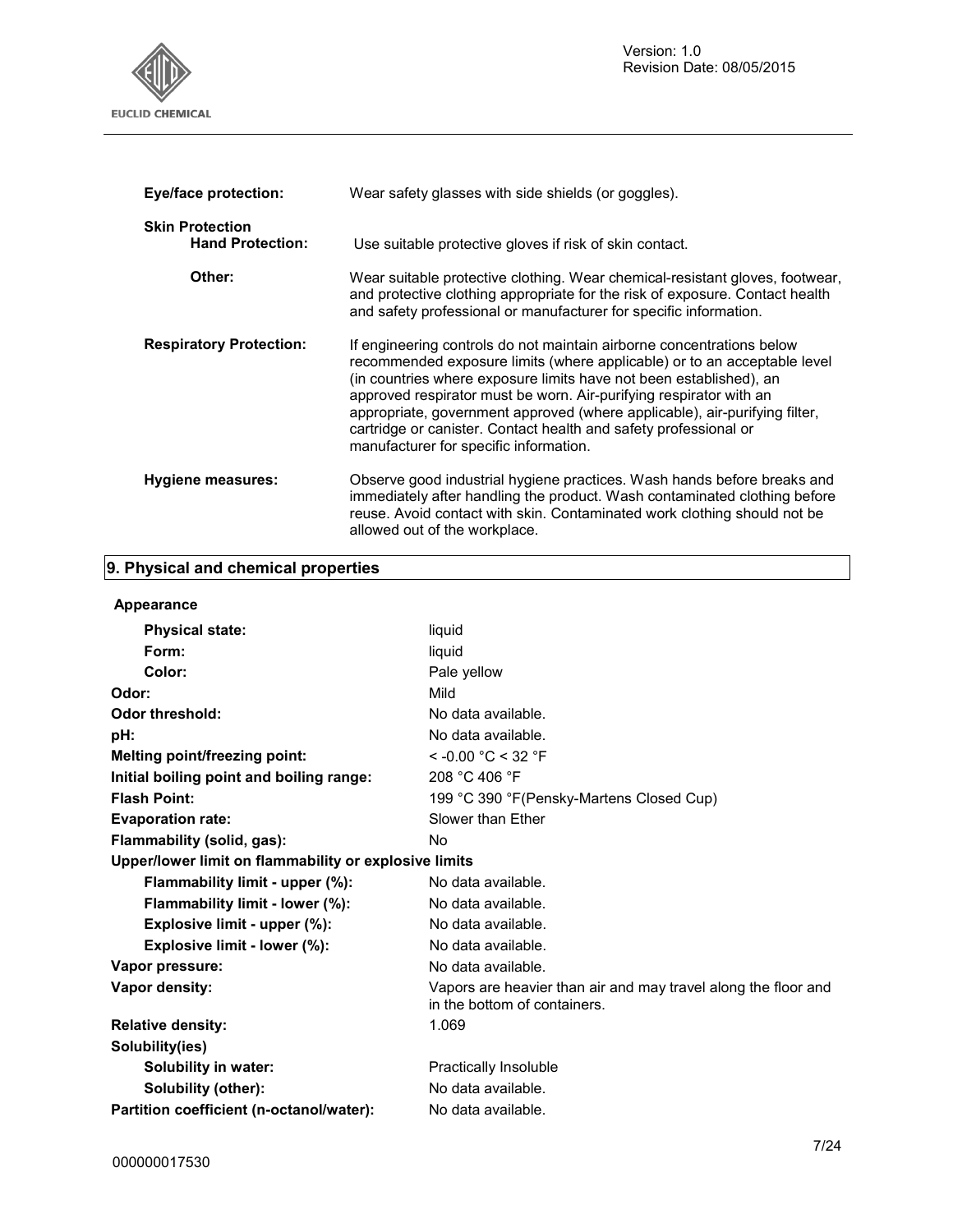

| <b>Eye/face protection:</b>                       | Wear safety glasses with side shields (or goggles).                                                                                                                                                                                                                                                                                                                                                                                                                                       |
|---------------------------------------------------|-------------------------------------------------------------------------------------------------------------------------------------------------------------------------------------------------------------------------------------------------------------------------------------------------------------------------------------------------------------------------------------------------------------------------------------------------------------------------------------------|
| <b>Skin Protection</b><br><b>Hand Protection:</b> | Use suitable protective gloves if risk of skin contact.                                                                                                                                                                                                                                                                                                                                                                                                                                   |
| Other:                                            | Wear suitable protective clothing. Wear chemical-resistant gloves, footwear,<br>and protective clothing appropriate for the risk of exposure. Contact health<br>and safety professional or manufacturer for specific information.                                                                                                                                                                                                                                                         |
| <b>Respiratory Protection:</b>                    | If engineering controls do not maintain airborne concentrations below<br>recommended exposure limits (where applicable) or to an acceptable level<br>(in countries where exposure limits have not been established), an<br>approved respirator must be worn. Air-purifying respirator with an<br>appropriate, government approved (where applicable), air-purifying filter,<br>cartridge or canister. Contact health and safety professional or<br>manufacturer for specific information. |
| Hygiene measures:                                 | Observe good industrial hygiene practices. Wash hands before breaks and<br>immediately after handling the product. Wash contaminated clothing before<br>reuse. Avoid contact with skin. Contaminated work clothing should not be<br>allowed out of the workplace.                                                                                                                                                                                                                         |

## **9. Physical and chemical properties**

| Appearance                                            |                                                                                                |  |
|-------------------------------------------------------|------------------------------------------------------------------------------------------------|--|
| <b>Physical state:</b>                                | liquid                                                                                         |  |
| Form:                                                 | liquid                                                                                         |  |
| Color:                                                | Pale yellow                                                                                    |  |
| Odor:                                                 | Mild                                                                                           |  |
| <b>Odor threshold:</b>                                | No data available.                                                                             |  |
| pH:                                                   | No data available.                                                                             |  |
| <b>Melting point/freezing point:</b>                  | $<$ -0.00 °C $<$ 32 °F                                                                         |  |
| Initial boiling point and boiling range:              | 208 °C 406 °F                                                                                  |  |
| <b>Flash Point:</b>                                   | 199 °C 390 °F (Pensky-Martens Closed Cup)                                                      |  |
| <b>Evaporation rate:</b>                              | Slower than Ether                                                                              |  |
| Flammability (solid, gas):                            | No.                                                                                            |  |
| Upper/lower limit on flammability or explosive limits |                                                                                                |  |
| Flammability limit - upper (%):                       | No data available.                                                                             |  |
| Flammability limit - lower (%):                       | No data available.                                                                             |  |
| Explosive limit - upper (%):                          | No data available.                                                                             |  |
| Explosive limit - lower (%):                          | No data available.                                                                             |  |
| Vapor pressure:                                       | No data available.                                                                             |  |
| Vapor density:                                        | Vapors are heavier than air and may travel along the floor and<br>in the bottom of containers. |  |
| <b>Relative density:</b>                              | 1.069                                                                                          |  |
| Solubility(ies)                                       |                                                                                                |  |
| Solubility in water:                                  | Practically Insoluble                                                                          |  |
| Solubility (other):                                   | No data available.                                                                             |  |
| Partition coefficient (n-octanol/water):              | No data available.                                                                             |  |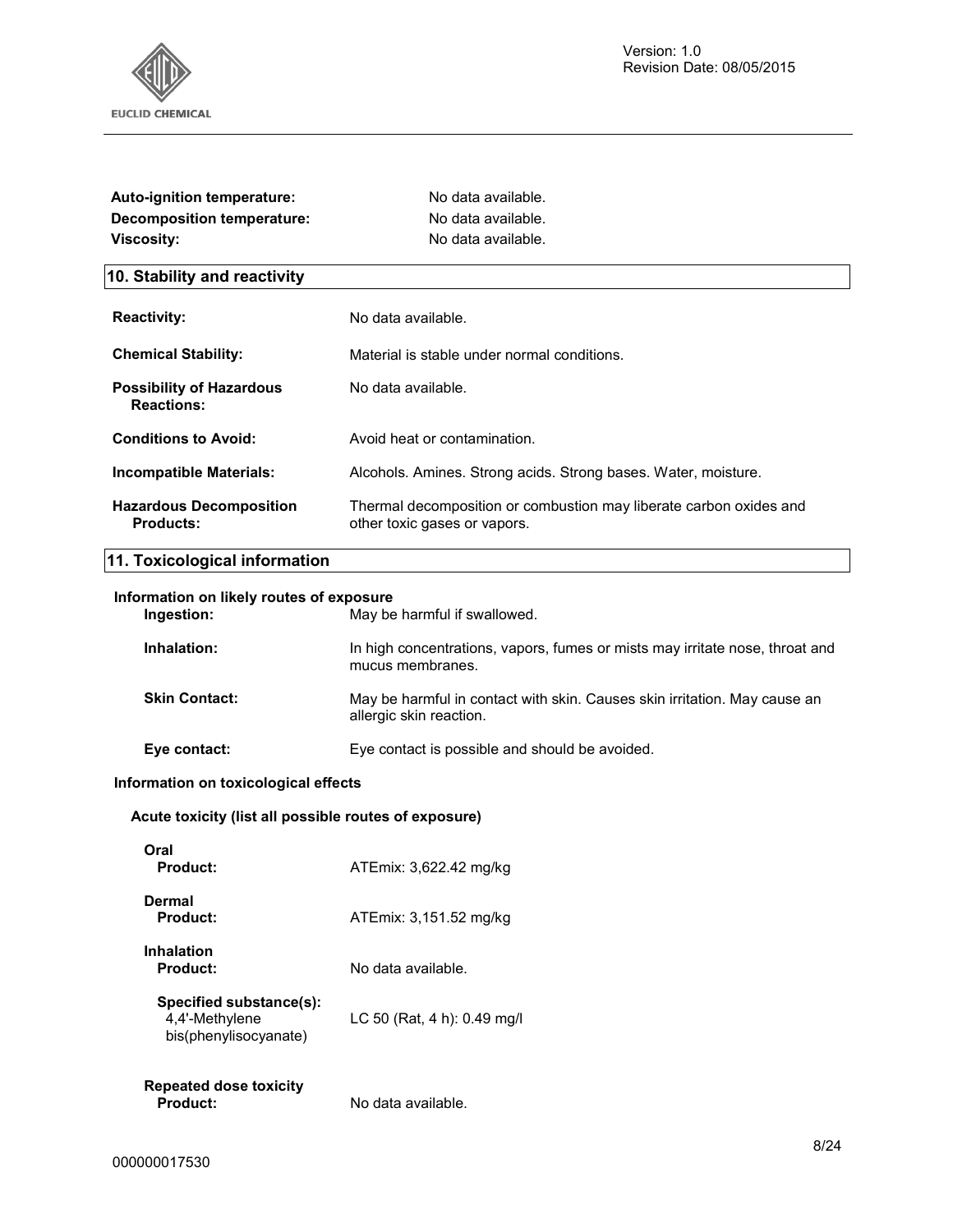

| Auto-ignition temperature:                                         | No data available.                                                                                   |
|--------------------------------------------------------------------|------------------------------------------------------------------------------------------------------|
| <b>Decomposition temperature:</b>                                  | No data available.                                                                                   |
| <b>Viscosity:</b>                                                  | No data available.                                                                                   |
| 10. Stability and reactivity                                       |                                                                                                      |
| <b>Reactivity:</b>                                                 | No data available.                                                                                   |
| <b>Chemical Stability:</b>                                         | Material is stable under normal conditions.                                                          |
| <b>Possibility of Hazardous</b><br><b>Reactions:</b>               | No data available.                                                                                   |
| <b>Conditions to Avoid:</b>                                        | Avoid heat or contamination.                                                                         |
| <b>Incompatible Materials:</b>                                     | Alcohols. Amines. Strong acids. Strong bases. Water, moisture.                                       |
| <b>Hazardous Decomposition</b><br><b>Products:</b>                 | Thermal decomposition or combustion may liberate carbon oxides and<br>other toxic gases or vapors.   |
| 11. Toxicological information                                      |                                                                                                      |
| Information on likely routes of exposure<br>Ingestion:             | May be harmful if swallowed.                                                                         |
| Inhalation:                                                        | In high concentrations, vapors, fumes or mists may irritate nose, throat and<br>mucus membranes.     |
| <b>Skin Contact:</b>                                               | May be harmful in contact with skin. Causes skin irritation. May cause an<br>allergic skin reaction. |
| Eye contact:                                                       | Eye contact is possible and should be avoided.                                                       |
| Information on toxicological effects                               |                                                                                                      |
| Acute toxicity (list all possible routes of exposure)              |                                                                                                      |
| Oral<br><b>Product:</b>                                            | ATEmix: 3,622.42 mg/kg                                                                               |
| <b>Dermal</b><br><b>Product:</b>                                   | ATEmix: 3,151.52 mg/kg                                                                               |
| <b>Inhalation</b><br><b>Product:</b>                               | No data available.                                                                                   |
| Specified substance(s):<br>4,4'-Methylene<br>bis(phenylisocyanate) | LC 50 (Rat, 4 h): 0.49 mg/l                                                                          |
| <b>Repeated dose toxicity</b><br><b>Product:</b>                   | No data available.                                                                                   |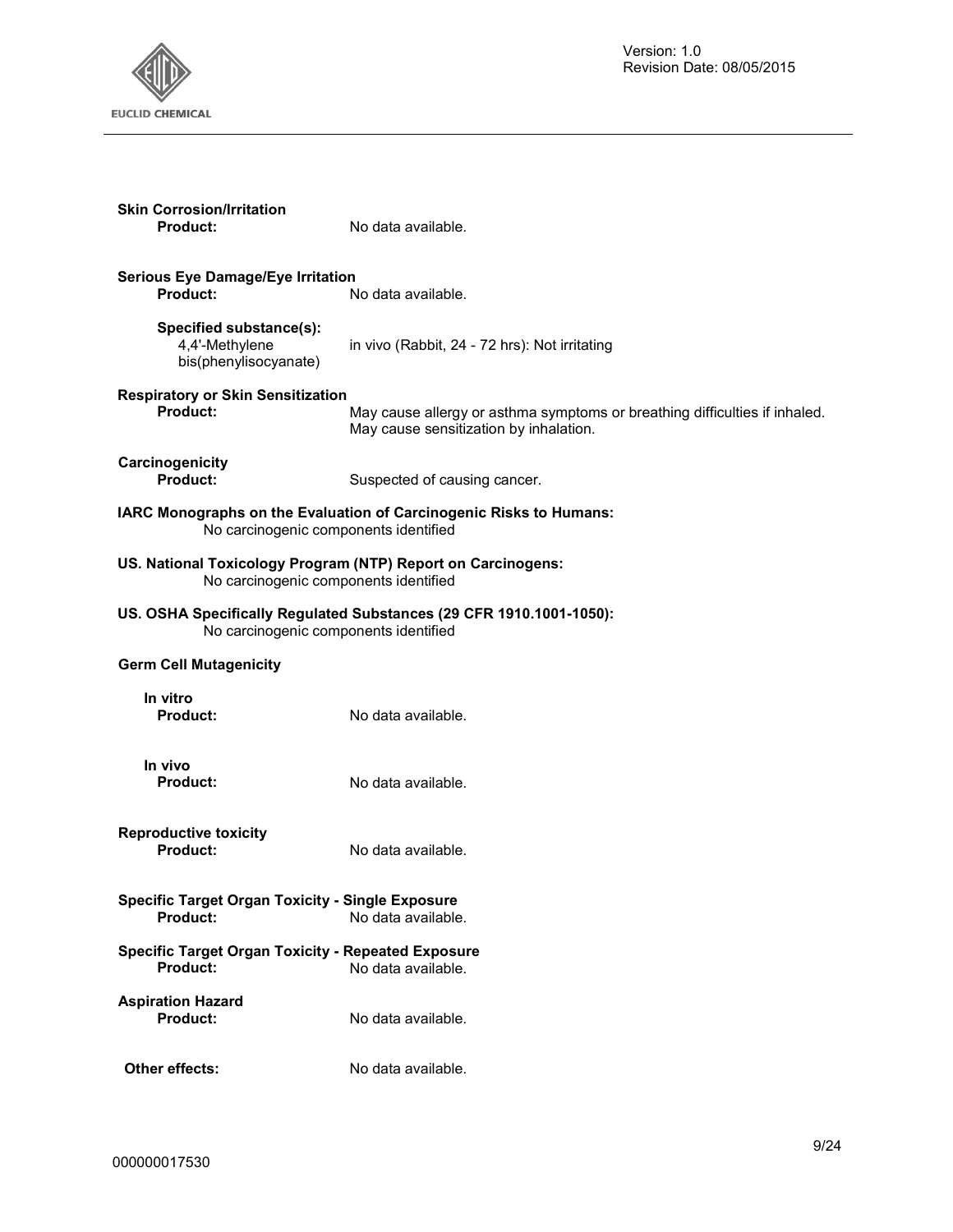

| <b>Skin Corrosion/Irritation</b><br><b>Product:</b>                          | No data available.                                                                                                   |
|------------------------------------------------------------------------------|----------------------------------------------------------------------------------------------------------------------|
| <b>Serious Eye Damage/Eye Irritation</b><br><b>Product:</b>                  | No data available.                                                                                                   |
| Specified substance(s):<br>4,4'-Methylene<br>bis(phenylisocyanate)           | in vivo (Rabbit, 24 - 72 hrs): Not irritating                                                                        |
| <b>Respiratory or Skin Sensitization</b><br>Product:                         | May cause allergy or asthma symptoms or breathing difficulties if inhaled.<br>May cause sensitization by inhalation. |
| Carcinogenicity<br>Product:                                                  | Suspected of causing cancer.                                                                                         |
| No carcinogenic components identified                                        | IARC Monographs on the Evaluation of Carcinogenic Risks to Humans:                                                   |
| No carcinogenic components identified                                        | US. National Toxicology Program (NTP) Report on Carcinogens:                                                         |
| No carcinogenic components identified                                        | US. OSHA Specifically Regulated Substances (29 CFR 1910.1001-1050):                                                  |
| <b>Germ Cell Mutagenicity</b>                                                |                                                                                                                      |
|                                                                              |                                                                                                                      |
| In vitro<br><b>Product:</b>                                                  | No data available.                                                                                                   |
| In vivo<br><b>Product:</b>                                                   | No data available.                                                                                                   |
| <b>Reproductive toxicity</b><br>Product:                                     | No data available.                                                                                                   |
| <b>Specific Target Organ Toxicity - Single Exposure</b><br><b>Product:</b>   | No data available.                                                                                                   |
| <b>Specific Target Organ Toxicity - Repeated Exposure</b><br><b>Product:</b> | No data available.                                                                                                   |
| <b>Aspiration Hazard</b><br><b>Product:</b>                                  | No data available.                                                                                                   |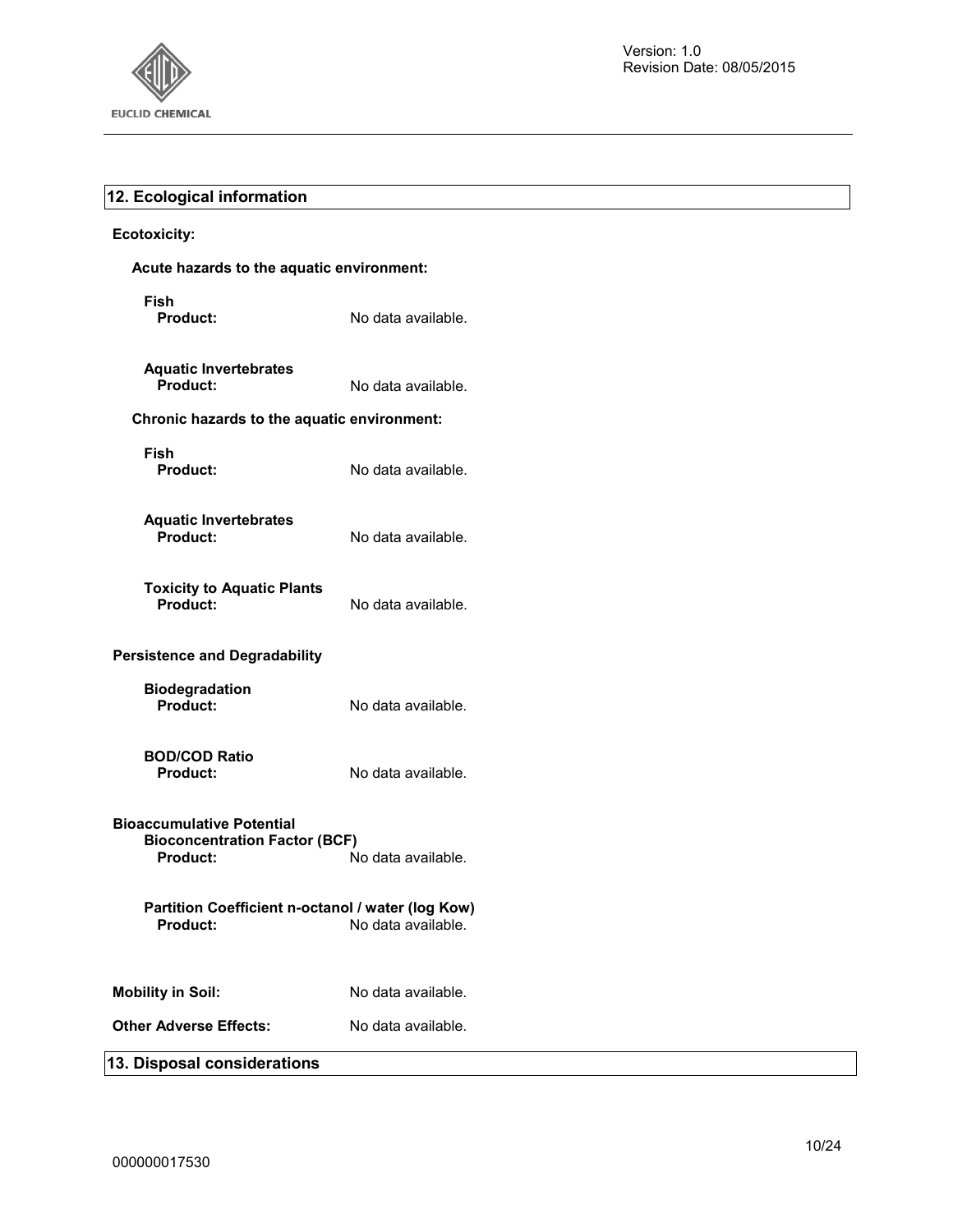

## **12. Ecological information**

## **Ecotoxicity:**

| Acute hazards to the aquatic environment:                                                   |                    |  |
|---------------------------------------------------------------------------------------------|--------------------|--|
| Fish<br>Product:                                                                            | No data available. |  |
| <b>Aquatic Invertebrates</b><br>Product:                                                    | No data available. |  |
| Chronic hazards to the aquatic environment:                                                 |                    |  |
| Fish<br><b>Product:</b>                                                                     | No data available. |  |
| <b>Aquatic Invertebrates</b><br>Product:                                                    | No data available. |  |
| <b>Toxicity to Aquatic Plants</b><br>Product:                                               | No data available. |  |
| <b>Persistence and Degradability</b>                                                        |                    |  |
| Biodegradation<br>Product:                                                                  | No data available. |  |
| <b>BOD/COD Ratio</b><br><b>Product:</b>                                                     | No data available. |  |
| <b>Bioaccumulative Potential</b><br><b>Bioconcentration Factor (BCF)</b><br><b>Product:</b> | No data available. |  |
| Partition Coefficient n-octanol / water (log Kow)<br><b>Product:</b>                        | No data available. |  |
| <b>Mobility in Soil:</b>                                                                    | No data available. |  |
| <b>Other Adverse Effects:</b>                                                               | No data available. |  |
| 13. Disposal considerations                                                                 |                    |  |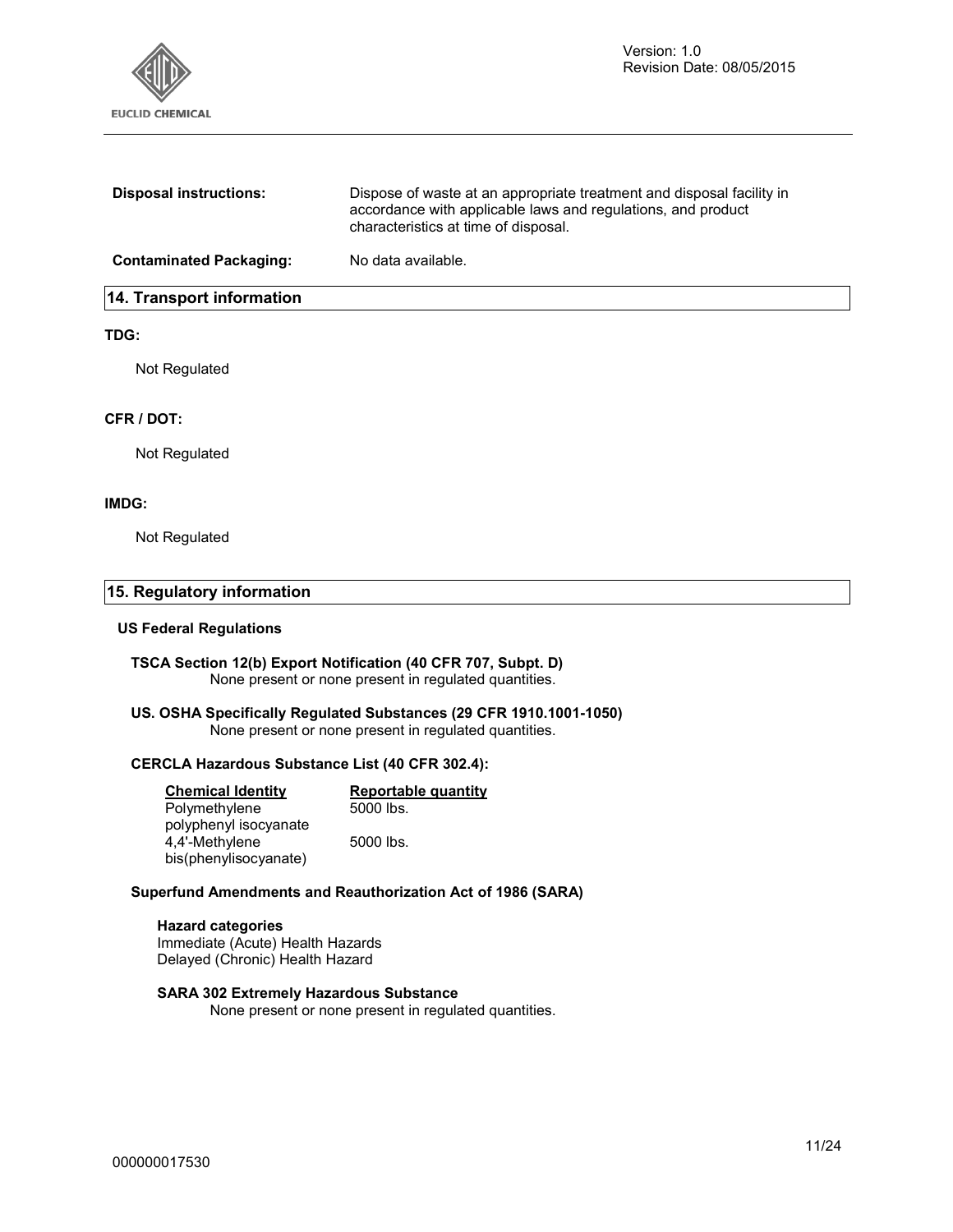

| <b>Disposal instructions:</b>    | Dispose of waste at an appropriate treatment and disposal facility in<br>accordance with applicable laws and regulations, and product<br>characteristics at time of disposal. |  |
|----------------------------------|-------------------------------------------------------------------------------------------------------------------------------------------------------------------------------|--|
| <b>Contaminated Packaging:</b>   | No data available.                                                                                                                                                            |  |
| <b>14. Transport information</b> |                                                                                                                                                                               |  |

#### **TDG:**

Not Regulated

#### **CFR / DOT:**

Not Regulated

#### **IMDG:**

Not Regulated

#### **15. Regulatory information**

#### **US Federal Regulations**

**TSCA Section 12(b) Export Notification (40 CFR 707, Subpt. D)**  None present or none present in regulated quantities.

#### **US. OSHA Specifically Regulated Substances (29 CFR 1910.1001-1050)**  None present or none present in regulated quantities.

#### **CERCLA Hazardous Substance List (40 CFR 302.4):**

| <b>Chemical Identity</b> | <b>Reportable quantity</b> |
|--------------------------|----------------------------|
| Polymethylene            | 5000 lbs.                  |
| polyphenyl isocyanate    |                            |
| 4.4'-Methylene           | 5000 lbs.                  |
| bis(phenylisocyanate)    |                            |

#### **Superfund Amendments and Reauthorization Act of 1986 (SARA)**

#### **Hazard categories**

Immediate (Acute) Health Hazards Delayed (Chronic) Health Hazard

#### **SARA 302 Extremely Hazardous Substance**

None present or none present in regulated quantities.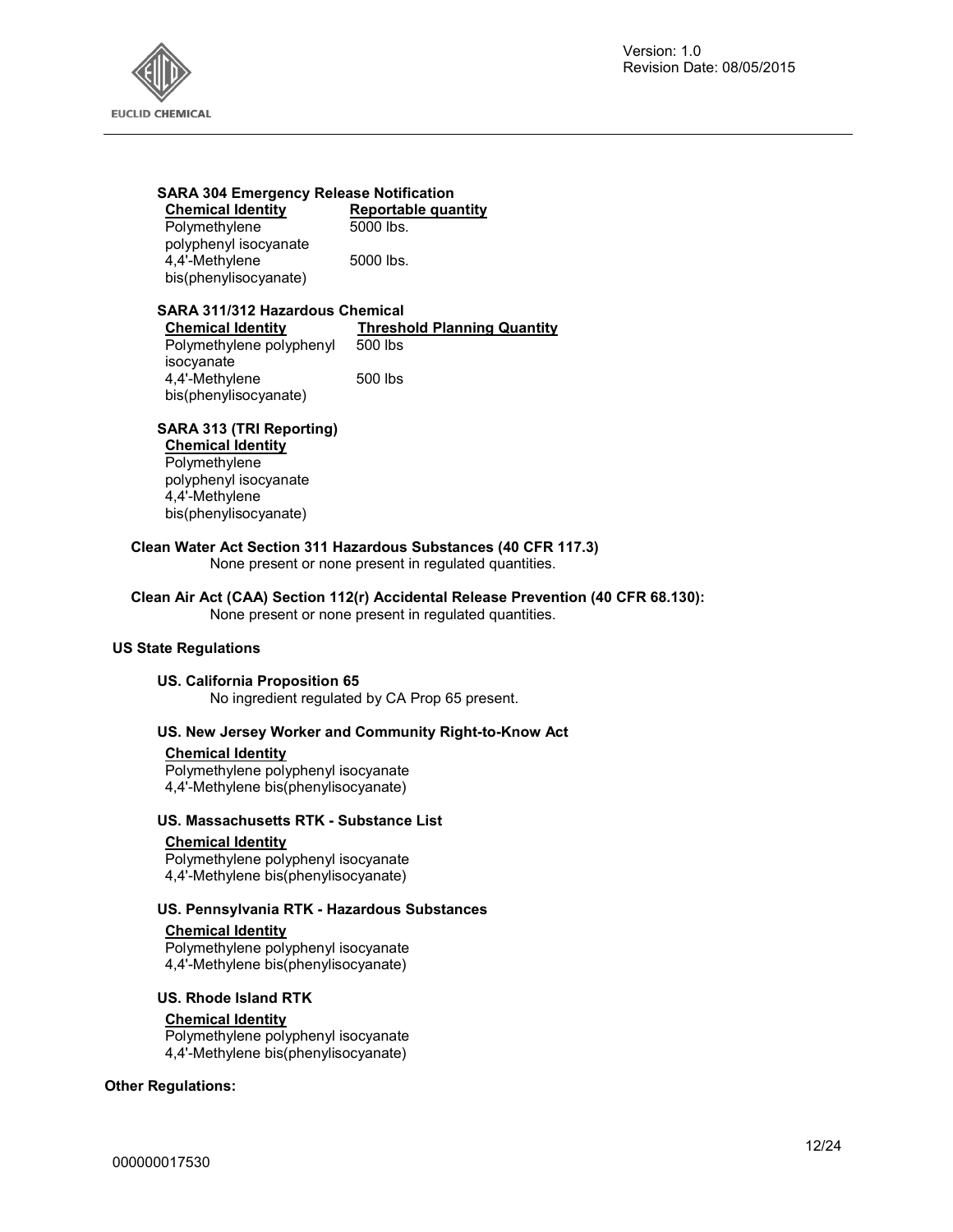

#### **SARA 304 Emergency Release Notification**

| <b>Chemical Identity</b> | Reportable quantity |
|--------------------------|---------------------|
| Polymethylene            | 5000 lbs.           |
| polyphenyl isocyanate    |                     |
| 4.4'-Methylene           | 5000 lbs.           |
| bis(phenylisocyanate)    |                     |

#### **SARA 311/312 Hazardous Chemical**

**Chemical Identity Threshold Planning Quantity** Polymethylene polyphenyl isocyanate 500 lbs

4,4'-Methylene bis(phenylisocyanate) 500 lbs

## **SARA 313 (TRI Reporting)**

**Chemical Identity Polymethylene** polyphenyl isocyanate 4,4'-Methylene bis(phenylisocyanate)

#### **Clean Water Act Section 311 Hazardous Substances (40 CFR 117.3)**

None present or none present in regulated quantities.

**Clean Air Act (CAA) Section 112(r) Accidental Release Prevention (40 CFR 68.130):**  None present or none present in regulated quantities.

#### **US State Regulations**

#### **US. California Proposition 65**

No ingredient regulated by CA Prop 65 present.

#### **US. New Jersey Worker and Community Right-to-Know Act**

#### **Chemical Identity**

Polymethylene polyphenyl isocyanate 4,4'-Methylene bis(phenylisocyanate)

#### **US. Massachusetts RTK - Substance List**

#### **Chemical Identity**

Polymethylene polyphenyl isocyanate 4,4'-Methylene bis(phenylisocyanate)

#### **US. Pennsylvania RTK - Hazardous Substances**

#### **Chemical Identity**

Polymethylene polyphenyl isocyanate 4,4'-Methylene bis(phenylisocyanate)

#### **US. Rhode Island RTK**

#### **Chemical Identity**

Polymethylene polyphenyl isocyanate 4,4'-Methylene bis(phenylisocyanate)

#### **Other Regulations:**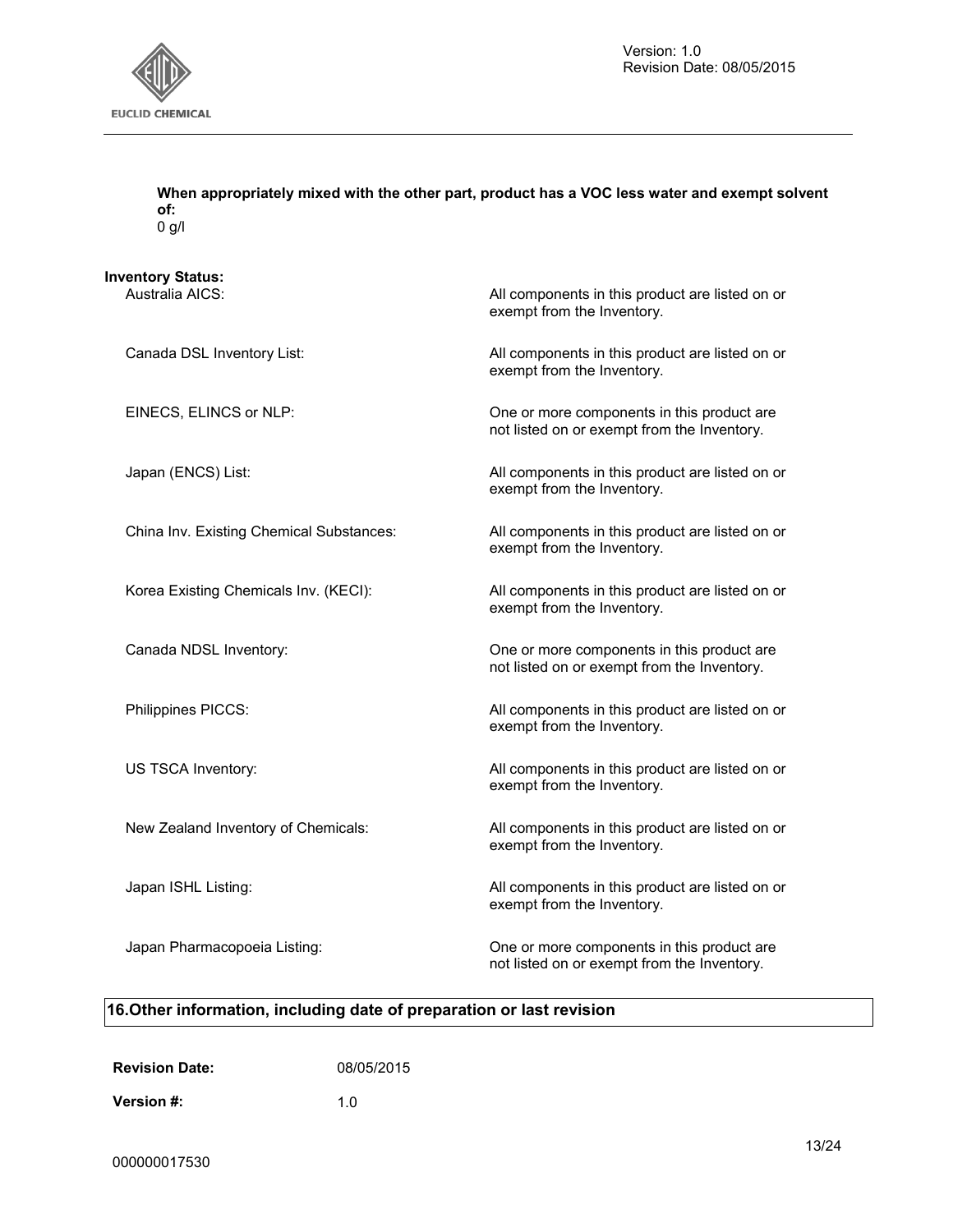

#### **When appropriately mixed with the other part, product has a VOC less water and exempt solvent of:**  0 g/l

| <b>Inventory Status:</b><br>Australia AICS: | All components in this product are listed on or<br>exempt from the Inventory.             |
|---------------------------------------------|-------------------------------------------------------------------------------------------|
| Canada DSL Inventory List:                  | All components in this product are listed on or<br>exempt from the Inventory.             |
| EINECS, ELINCS or NLP:                      | One or more components in this product are<br>not listed on or exempt from the Inventory. |
| Japan (ENCS) List:                          | All components in this product are listed on or<br>exempt from the Inventory.             |
| China Inv. Existing Chemical Substances:    | All components in this product are listed on or<br>exempt from the Inventory.             |
| Korea Existing Chemicals Inv. (KECI):       | All components in this product are listed on or<br>exempt from the Inventory.             |
| Canada NDSL Inventory:                      | One or more components in this product are<br>not listed on or exempt from the Inventory. |
| Philippines PICCS:                          | All components in this product are listed on or<br>exempt from the Inventory.             |
| US TSCA Inventory:                          | All components in this product are listed on or<br>exempt from the Inventory.             |
| New Zealand Inventory of Chemicals:         | All components in this product are listed on or<br>exempt from the Inventory.             |
| Japan ISHL Listing:                         | All components in this product are listed on or<br>exempt from the Inventory.             |
| Japan Pharmacopoeia Listing:                | One or more components in this product are<br>not listed on or exempt from the Inventory. |

## **16.Other information, including date of preparation or last revision**

| <b>Revision Date:</b> | 08/05/2015 |
|-----------------------|------------|
| <b>Version #:</b>     | 1 N        |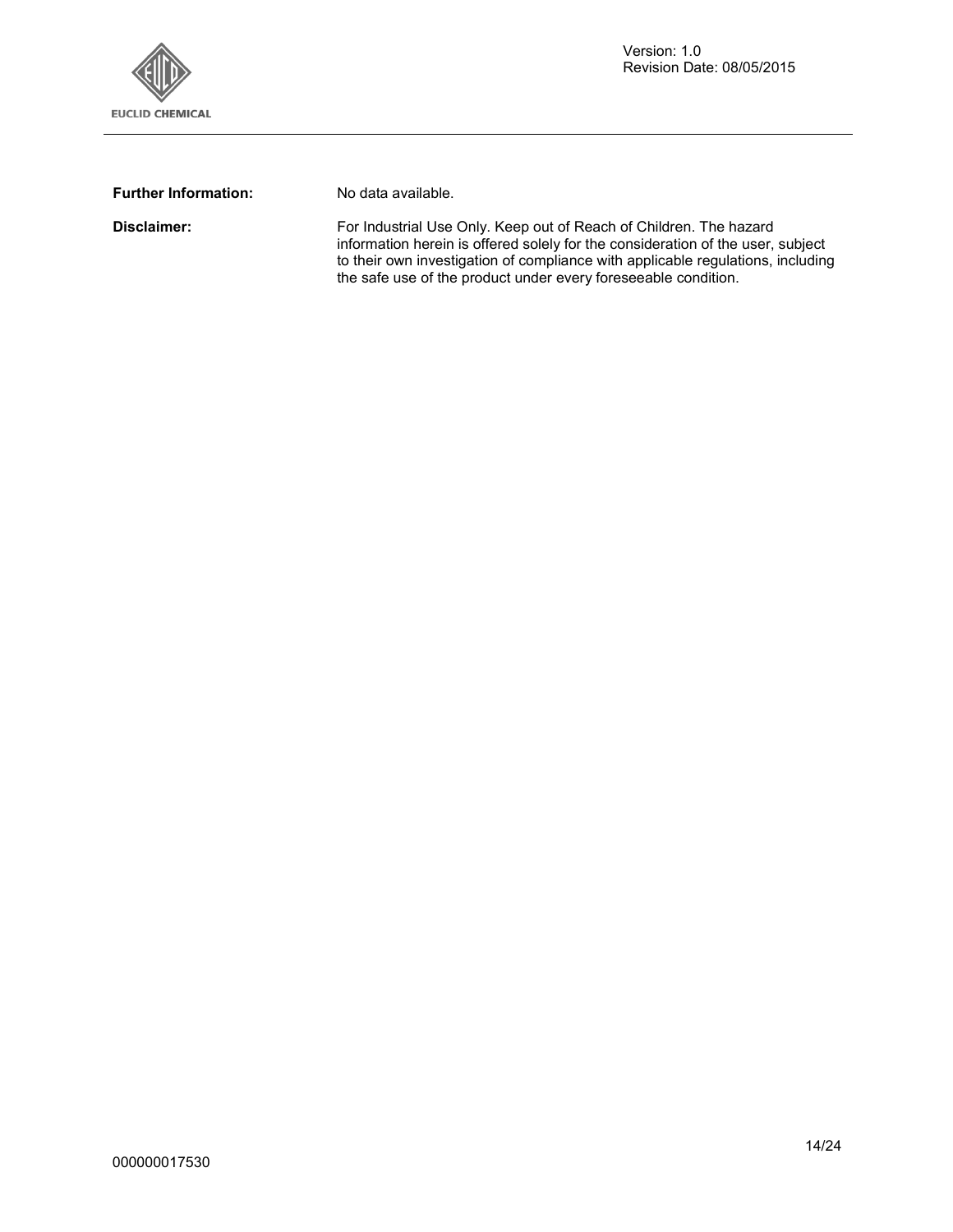

**Further Information:** No data available.

**Disclaimer:** For Industrial Use Only. Keep out of Reach of Children. The hazard information herein is offered solely for the consideration of the user, subject to their own investigation of compliance with applicable regulations, including the safe use of the product under every foreseeable condition.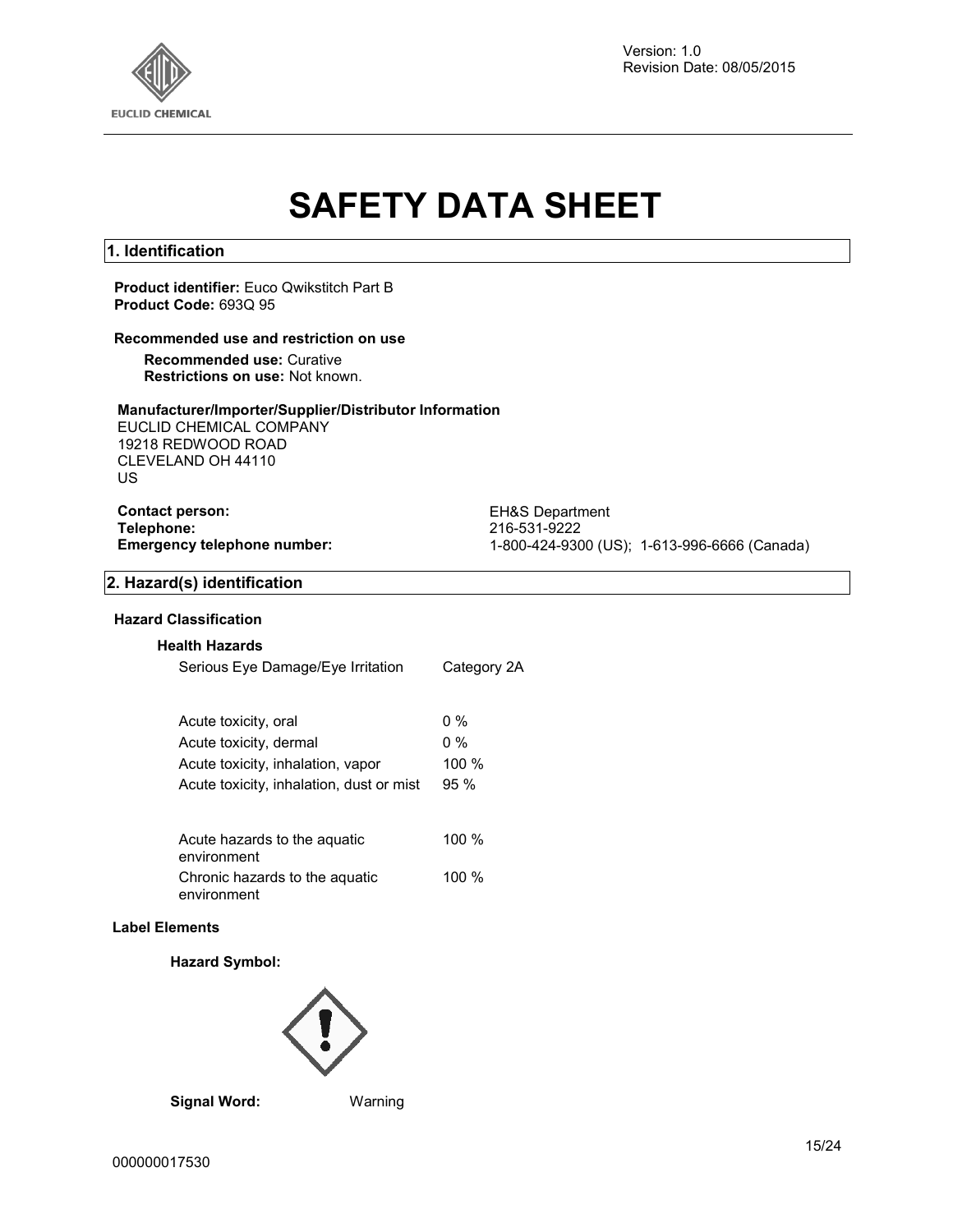

Version: 1.0 Revision Date: 08/05/2015

# **SAFETY DATA SHEET**

#### **1. Identification**

#### **Product identifier:** Euco Qwikstitch Part B **Product Code:** 693Q 95

#### **Recommended use and restriction on use**

**Recommended use:** Curative **Restrictions on use:** Not known.

#### **Manufacturer/Importer/Supplier/Distributor Information**

EUCLID CHEMICAL COMPANY 19218 REDWOOD ROAD CLEVELAND OH 44110 US

# **Contact person:** EH&S Department<br> **Telephone:** 216-531-9222

**Telephone:** 216-531-9222 **Emergency telephone number:** 1-800-424-9300 (US); 1-613-996-6666 (Canada)

#### **2. Hazard(s) identification**

#### **Hazard Classification**

#### **Health Hazards**

| Serious Eye Damage/Eye Irritation | Category 2A |
|-----------------------------------|-------------|
|-----------------------------------|-------------|

| Acute toxicity, oral                     | $0\%$    |
|------------------------------------------|----------|
| Acute toxicity, dermal                   | $0\%$    |
| Acute toxicity, inhalation, vapor        | $100 \%$ |
| Acute toxicity, inhalation, dust or mist | 95%      |
|                                          |          |

| Acute hazards to the aquatic   | $100 \%$ |
|--------------------------------|----------|
| environment                    |          |
| Chronic hazards to the aguatic | $100 \%$ |
| environment                    |          |

#### **Label Elements**

#### **Hazard Symbol:**



#### **Signal Word:** Warning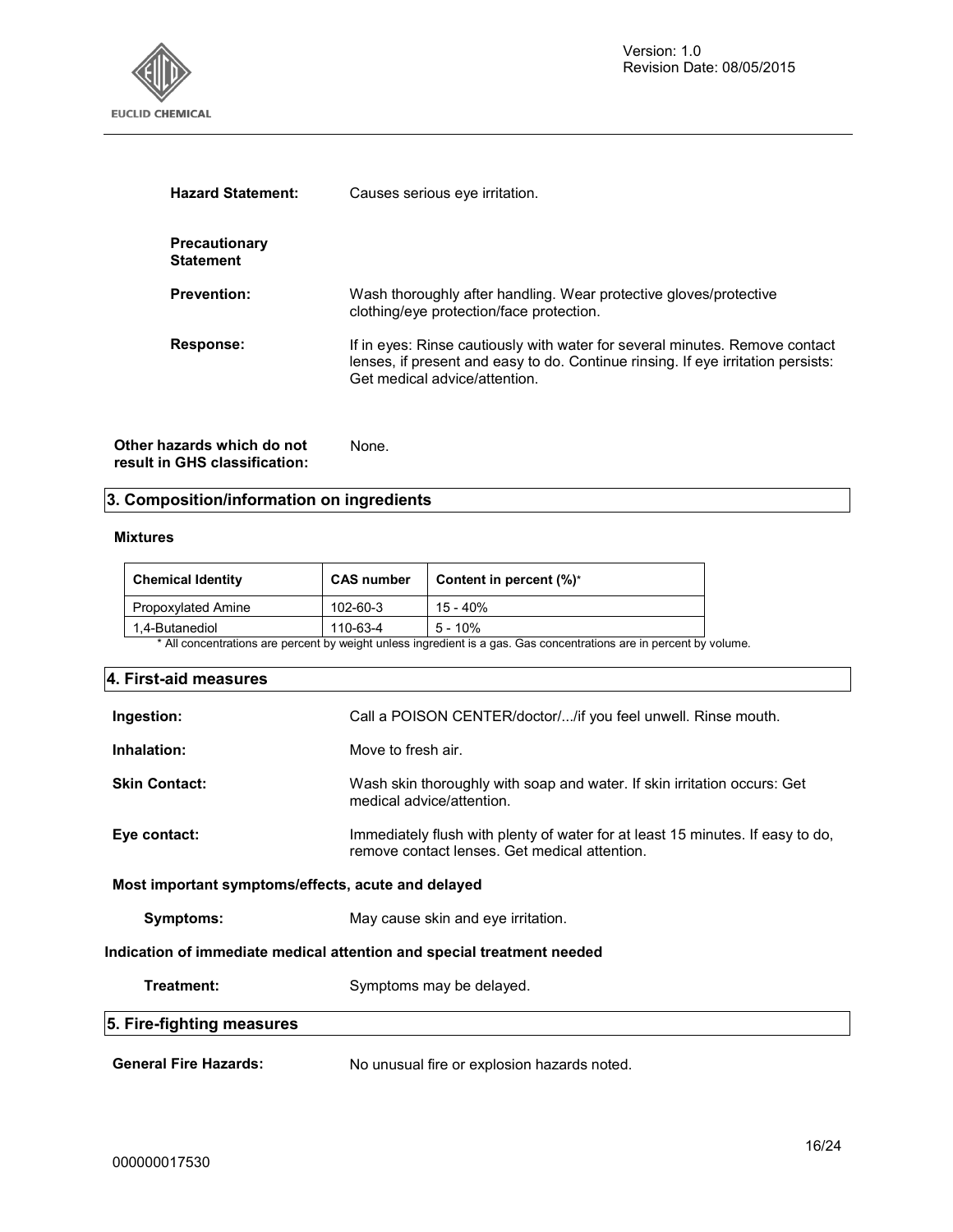

| Causes serious eve irritation.                                                                                                                                                                   |
|--------------------------------------------------------------------------------------------------------------------------------------------------------------------------------------------------|
|                                                                                                                                                                                                  |
| Wash thoroughly after handling. Wear protective gloves/protective<br>clothing/eye protection/face protection.                                                                                    |
| If in eyes: Rinse cautiously with water for several minutes. Remove contact<br>lenses, if present and easy to do. Continue rinsing. If eye irritation persists:<br>Get medical advice/attention. |
|                                                                                                                                                                                                  |

**Other hazards which do not result in GHS classification:**  None.

## **3. Composition/information on ingredients**

#### **Mixtures**

| <b>Chemical Identity</b>  | <b>CAS number</b> | Content in percent $(\%)^*$ |
|---------------------------|-------------------|-----------------------------|
| <b>Propoxylated Amine</b> | 102-60-3          | 15 - 40%                    |
| 1.4-Butanediol            | 110-63-4          | $5 - 10%$                   |

\* All concentrations are percent by weight unless ingredient is a gas. Gas concentrations are in percent by volume.

| 4. First-aid measures                                                  |                                                                                                                                 |  |
|------------------------------------------------------------------------|---------------------------------------------------------------------------------------------------------------------------------|--|
| Ingestion:                                                             | Call a POISON CENTER/doctor//if you feel unwell. Rinse mouth.                                                                   |  |
| Inhalation:                                                            | Move to fresh air.                                                                                                              |  |
| <b>Skin Contact:</b>                                                   | Wash skin thoroughly with soap and water. If skin irritation occurs: Get<br>medical advice/attention.                           |  |
| Eye contact:                                                           | Immediately flush with plenty of water for at least 15 minutes. If easy to do,<br>remove contact lenses. Get medical attention. |  |
| Most important symptoms/effects, acute and delayed                     |                                                                                                                                 |  |
| Symptoms:                                                              | May cause skin and eye irritation.                                                                                              |  |
| Indication of immediate medical attention and special treatment needed |                                                                                                                                 |  |
| Treatment:                                                             | Symptoms may be delayed.                                                                                                        |  |
| 5. Fire-fighting measures                                              |                                                                                                                                 |  |
| <b>General Fire Hazards:</b>                                           | No unusual fire or explosion hazards noted.                                                                                     |  |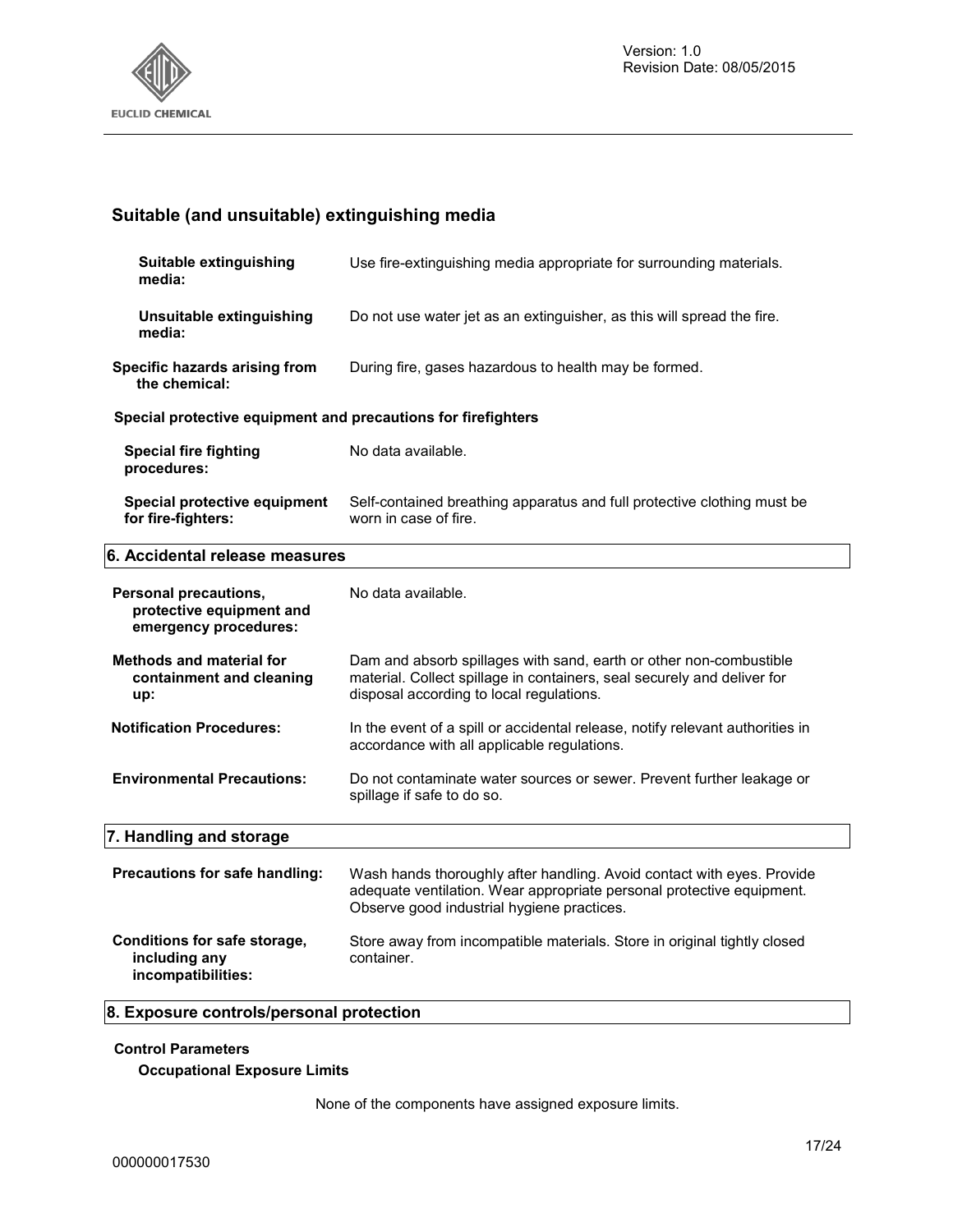

## **Suitable (and unsuitable) extinguishing media**

| Suitable extinguishing<br>media:                                           | Use fire-extinguishing media appropriate for surrounding materials.                                                                                                                           |
|----------------------------------------------------------------------------|-----------------------------------------------------------------------------------------------------------------------------------------------------------------------------------------------|
| Unsuitable extinguishing<br>media:                                         | Do not use water jet as an extinguisher, as this will spread the fire.                                                                                                                        |
| Specific hazards arising from<br>the chemical:                             | During fire, gases hazardous to health may be formed.                                                                                                                                         |
| Special protective equipment and precautions for firefighters              |                                                                                                                                                                                               |
| <b>Special fire fighting</b><br>procedures:                                | No data available.                                                                                                                                                                            |
| Special protective equipment<br>for fire-fighters:                         | Self-contained breathing apparatus and full protective clothing must be<br>worn in case of fire.                                                                                              |
| 6. Accidental release measures                                             |                                                                                                                                                                                               |
| Personal precautions,<br>protective equipment and<br>emergency procedures: | No data available.                                                                                                                                                                            |
| <b>Methods and material for</b><br>containment and cleaning<br>up:         | Dam and absorb spillages with sand, earth or other non-combustible<br>material. Collect spillage in containers, seal securely and deliver for<br>disposal according to local regulations.     |
| <b>Notification Procedures:</b>                                            | In the event of a spill or accidental release, notify relevant authorities in<br>accordance with all applicable regulations.                                                                  |
| <b>Environmental Precautions:</b>                                          | Do not contaminate water sources or sewer. Prevent further leakage or<br>spillage if safe to do so.                                                                                           |
| 7. Handling and storage                                                    |                                                                                                                                                                                               |
| Precautions for safe handling:                                             | Wash hands thoroughly after handling. Avoid contact with eyes. Provide<br>adequate ventilation. Wear appropriate personal protective equipment.<br>Observe good industrial hygiene practices. |
| Conditions for safe storage,<br>including any<br>incompatibilities:        | Store away from incompatible materials. Store in original tightly closed<br>container.                                                                                                        |

# **8. Exposure controls/personal protection**

# **Control Parameters**

**Occupational Exposure Limits** 

None of the components have assigned exposure limits.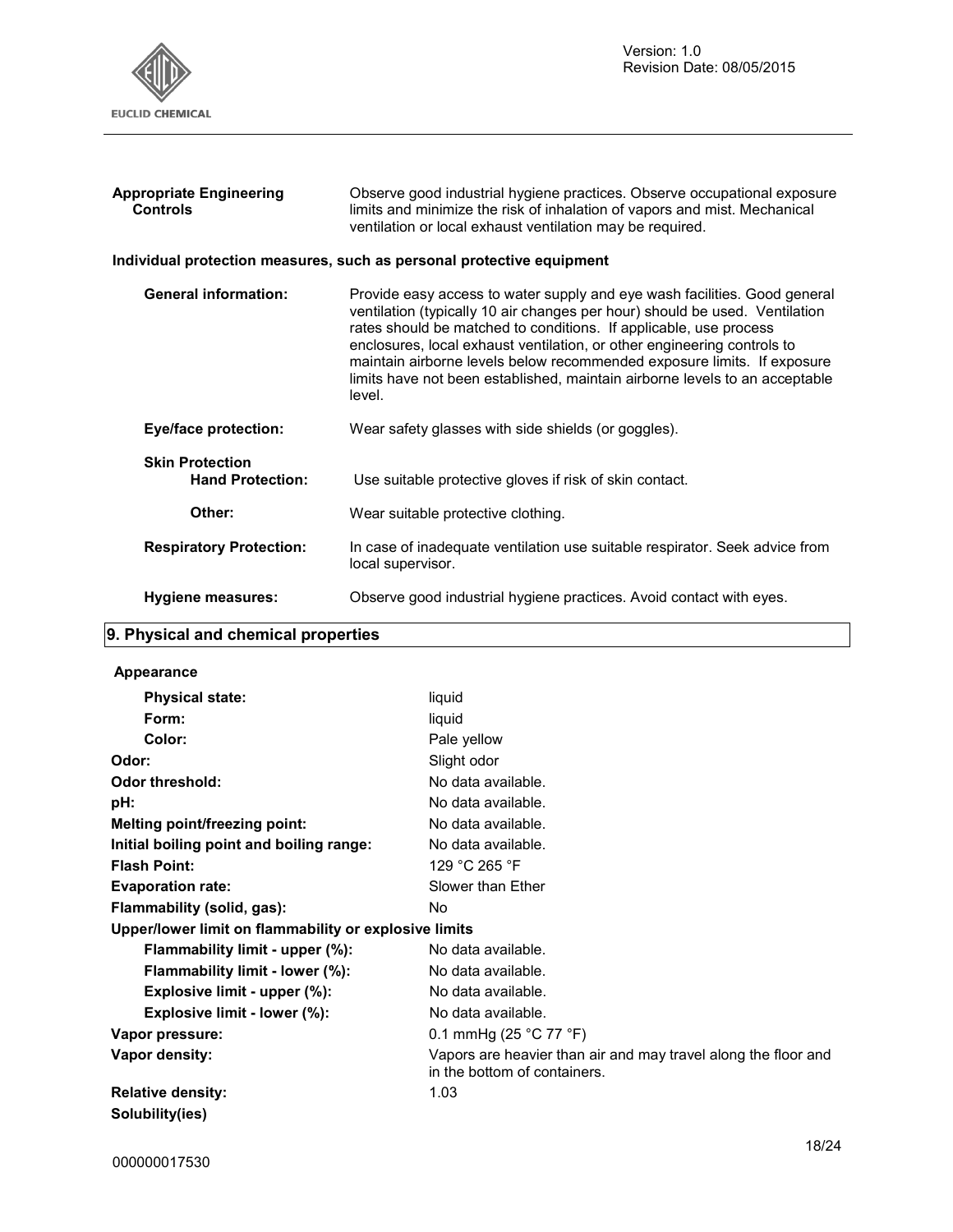

| <b>Appropriate Engineering</b><br><b>Controls</b> | Observe good industrial hygiene practices. Observe occupational exposure<br>limits and minimize the risk of inhalation of vapors and mist. Mechanical<br>ventilation or local exhaust ventilation may be required.                                                                                                                                                                                                                                                           |
|---------------------------------------------------|------------------------------------------------------------------------------------------------------------------------------------------------------------------------------------------------------------------------------------------------------------------------------------------------------------------------------------------------------------------------------------------------------------------------------------------------------------------------------|
|                                                   | Individual protection measures, such as personal protective equipment                                                                                                                                                                                                                                                                                                                                                                                                        |
| <b>General information:</b>                       | Provide easy access to water supply and eye wash facilities. Good general<br>ventilation (typically 10 air changes per hour) should be used. Ventilation<br>rates should be matched to conditions. If applicable, use process<br>enclosures, local exhaust ventilation, or other engineering controls to<br>maintain airborne levels below recommended exposure limits. If exposure<br>limits have not been established, maintain airborne levels to an acceptable<br>level. |
| <b>Eye/face protection:</b>                       | Wear safety glasses with side shields (or goggles).                                                                                                                                                                                                                                                                                                                                                                                                                          |
| <b>Skin Protection</b><br><b>Hand Protection:</b> | Use suitable protective gloves if risk of skin contact.                                                                                                                                                                                                                                                                                                                                                                                                                      |
| Other:                                            | Wear suitable protective clothing.                                                                                                                                                                                                                                                                                                                                                                                                                                           |
| <b>Respiratory Protection:</b>                    | In case of inadequate ventilation use suitable respirator. Seek advice from<br>local supervisor.                                                                                                                                                                                                                                                                                                                                                                             |
| Hygiene measures:                                 | Observe good industrial hygiene practices. Avoid contact with eyes.                                                                                                                                                                                                                                                                                                                                                                                                          |

## **9. Physical and chemical properties**

#### **Appearance**

| <b>Physical state:</b>                                | liquid                                                                                         |
|-------------------------------------------------------|------------------------------------------------------------------------------------------------|
| Form:                                                 | liquid                                                                                         |
| Color:                                                | Pale yellow                                                                                    |
| Odor:                                                 | Slight odor                                                                                    |
| <b>Odor threshold:</b>                                | No data available.                                                                             |
| pH:                                                   | No data available.                                                                             |
| Melting point/freezing point:                         | No data available.                                                                             |
| Initial boiling point and boiling range:              | No data available.                                                                             |
| <b>Flash Point:</b>                                   | 129 °C 265 °F                                                                                  |
| <b>Evaporation rate:</b>                              | Slower than Ether                                                                              |
| Flammability (solid, gas):                            | No.                                                                                            |
| Upper/lower limit on flammability or explosive limits |                                                                                                |
| Flammability limit - upper (%):                       | No data available.                                                                             |
| Flammability limit - lower (%):                       | No data available.                                                                             |
| Explosive limit - upper (%):                          | No data available.                                                                             |
| Explosive limit - lower (%):                          | No data available.                                                                             |
| Vapor pressure:                                       | 0.1 mmHg $(25 °C 77 °F)$                                                                       |
| Vapor density:                                        | Vapors are heavier than air and may travel along the floor and<br>in the bottom of containers. |
| <b>Relative density:</b>                              | 1.03                                                                                           |
| Solubility(ies)                                       |                                                                                                |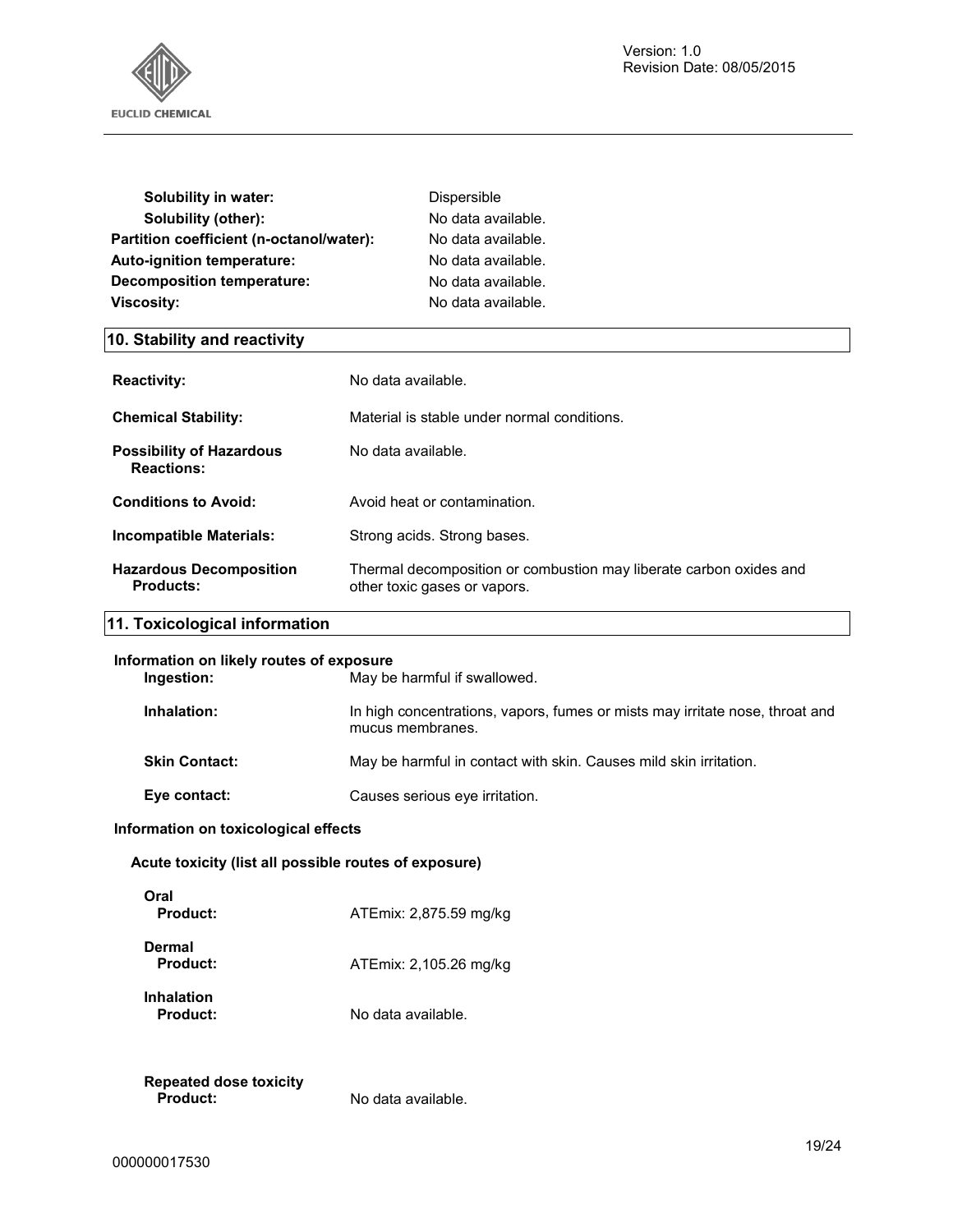

| <b>Solubility in water:</b>              | Dispersible        |
|------------------------------------------|--------------------|
| Solubility (other):                      | No data available. |
| Partition coefficient (n-octanol/water): | No data available. |
| Auto-ignition temperature:               | No data available. |
| Decomposition temperature:               | No data available. |
| <b>Viscosity:</b>                        | No data available. |

## **10. Stability and reactivity**

| <b>Reactivity:</b>                                   | No data available.                                                                                 |
|------------------------------------------------------|----------------------------------------------------------------------------------------------------|
| <b>Chemical Stability:</b>                           | Material is stable under normal conditions.                                                        |
| <b>Possibility of Hazardous</b><br><b>Reactions:</b> | No data available.                                                                                 |
| <b>Conditions to Avoid:</b>                          | Avoid heat or contamination.                                                                       |
| Incompatible Materials:                              | Strong acids. Strong bases.                                                                        |
| <b>Hazardous Decomposition</b><br>Products:          | Thermal decomposition or combustion may liberate carbon oxides and<br>other toxic gases or vapors. |

## **11. Toxicological information**

| Information on likely routes of exposure<br>Ingestion:<br>May be harmful if swallowed. |                                                                                                  |  |
|----------------------------------------------------------------------------------------|--------------------------------------------------------------------------------------------------|--|
| Inhalation:                                                                            | In high concentrations, vapors, fumes or mists may irritate nose, throat and<br>mucus membranes. |  |
| <b>Skin Contact:</b>                                                                   | May be harmful in contact with skin. Causes mild skin irritation.                                |  |
| Eye contact:                                                                           | Causes serious eye irritation.                                                                   |  |

#### **Information on toxicological effects**

**Acute toxicity (list all possible routes of exposure)** 

| Oral<br>Product:              | ATEmix: 2,875.59 mg/kg |
|-------------------------------|------------------------|
| Dermal<br>Product:            | ATEmix: 2,105.26 mg/kg |
| <b>Inhalation</b><br>Product: | No data available.     |

| <b>Repeated dose toxicity</b> |                    |
|-------------------------------|--------------------|
| Product:                      | No data available. |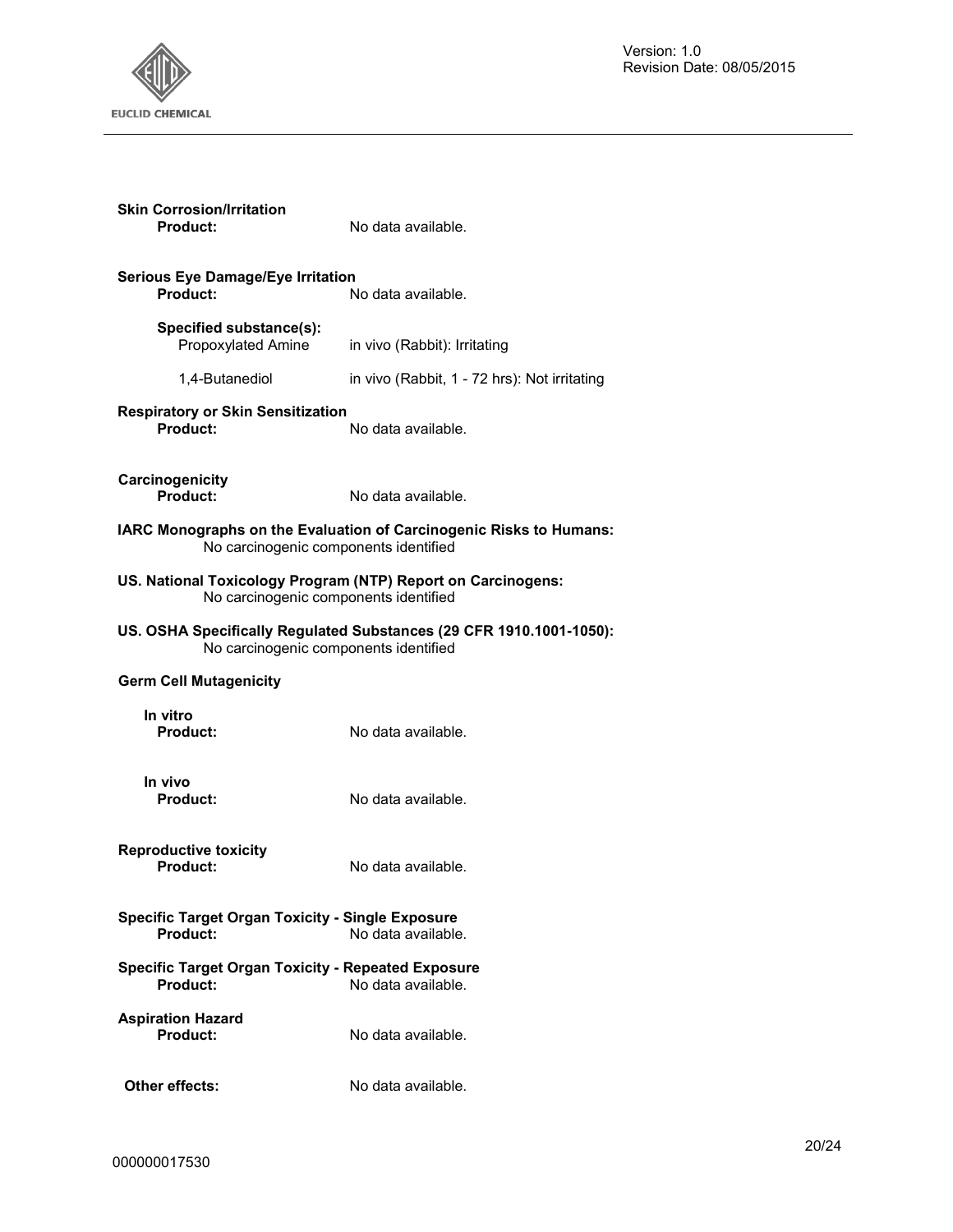

| <b>Skin Corrosion/Irritation</b><br><b>Product:</b>                                                          | No data available.                           |
|--------------------------------------------------------------------------------------------------------------|----------------------------------------------|
| <b>Serious Eye Damage/Eye Irritation</b><br>Product:<br>No data available.                                   |                                              |
| Specified substance(s):<br>Propoxylated Amine                                                                | in vivo (Rabbit): Irritating                 |
| 1,4-Butanediol                                                                                               | in vivo (Rabbit, 1 - 72 hrs): Not irritating |
| <b>Respiratory or Skin Sensitization</b><br>Product:                                                         | No data available.                           |
| Carcinogenicity<br><b>Product:</b>                                                                           | No data available.                           |
| IARC Monographs on the Evaluation of Carcinogenic Risks to Humans:<br>No carcinogenic components identified  |                                              |
| US. National Toxicology Program (NTP) Report on Carcinogens:<br>No carcinogenic components identified        |                                              |
| US. OSHA Specifically Regulated Substances (29 CFR 1910.1001-1050):<br>No carcinogenic components identified |                                              |
| <b>Germ Cell Mutagenicity</b>                                                                                |                                              |
| In vitro<br><b>Product:</b>                                                                                  | No data available.                           |
| In vivo<br><b>Product:</b>                                                                                   | No data available.                           |
| <b>Reproductive toxicity</b><br><b>Product:</b>                                                              | No data available.                           |
| <b>Specific Target Organ Toxicity - Single Exposure</b><br>Product:<br>No data available.                    |                                              |
| <b>Specific Target Organ Toxicity - Repeated Exposure</b><br>Product:                                        | No data available.                           |
| <b>Aspiration Hazard</b><br>Product:                                                                         | No data available.                           |
| Other effects:                                                                                               | No data available.                           |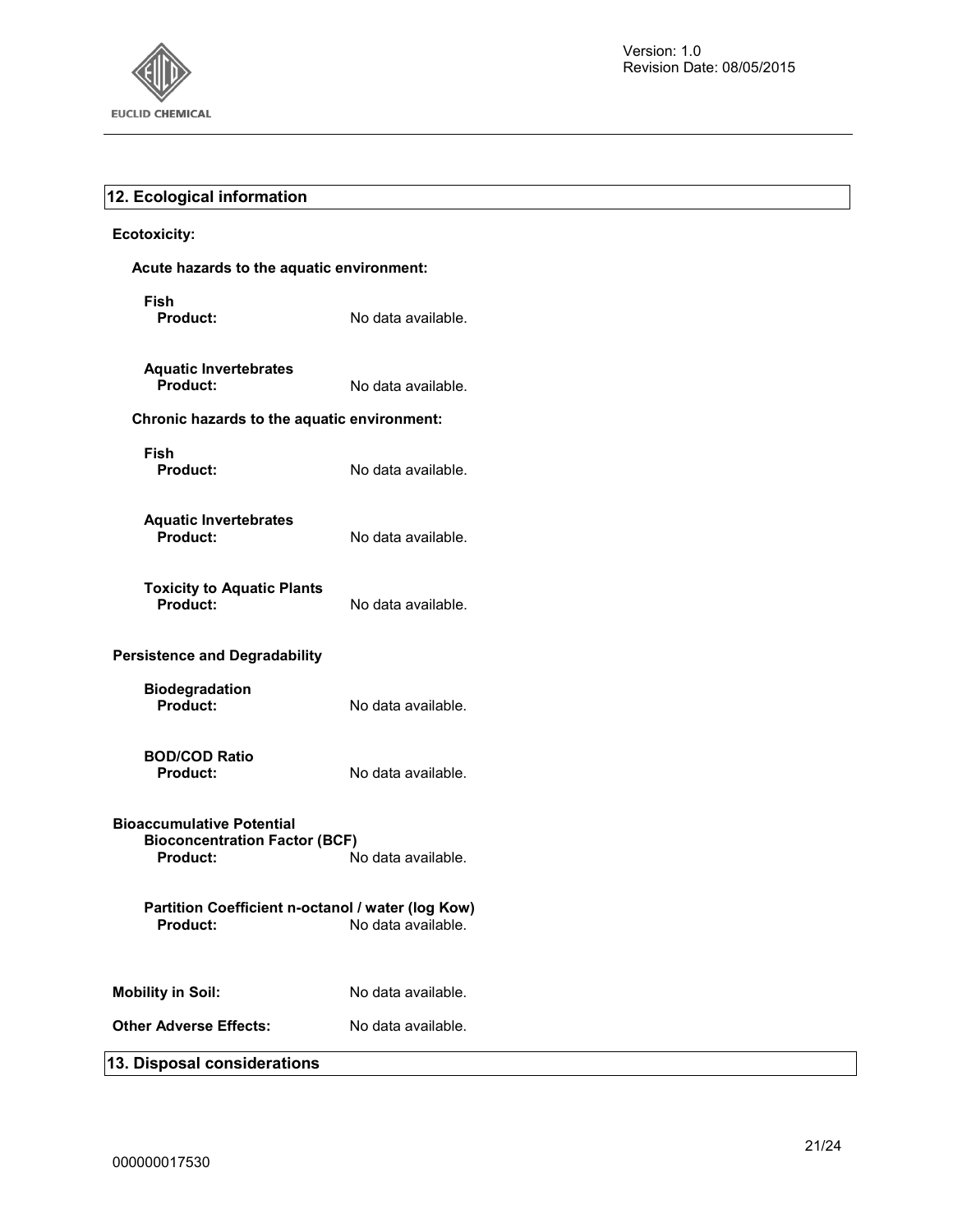

## **12. Ecological information**

## **Ecotoxicity:**

| Acute hazards to the aquatic environment:                                                   |                    |
|---------------------------------------------------------------------------------------------|--------------------|
| Fish<br>Product:                                                                            | No data available. |
| <b>Aquatic Invertebrates</b><br>Product:                                                    | No data available. |
| Chronic hazards to the aquatic environment:                                                 |                    |
| Fish<br><b>Product:</b>                                                                     | No data available. |
| <b>Aquatic Invertebrates</b><br>Product:                                                    | No data available. |
| <b>Toxicity to Aquatic Plants</b><br>Product:                                               | No data available. |
| <b>Persistence and Degradability</b>                                                        |                    |
| Biodegradation<br>Product:                                                                  | No data available. |
| <b>BOD/COD Ratio</b><br><b>Product:</b>                                                     | No data available. |
| <b>Bioaccumulative Potential</b><br><b>Bioconcentration Factor (BCF)</b><br><b>Product:</b> | No data available. |
| Partition Coefficient n-octanol / water (log Kow)<br><b>Product:</b>                        | No data available. |
| <b>Mobility in Soil:</b>                                                                    | No data available. |
| <b>Other Adverse Effects:</b>                                                               | No data available. |
| 13. Disposal considerations                                                                 |                    |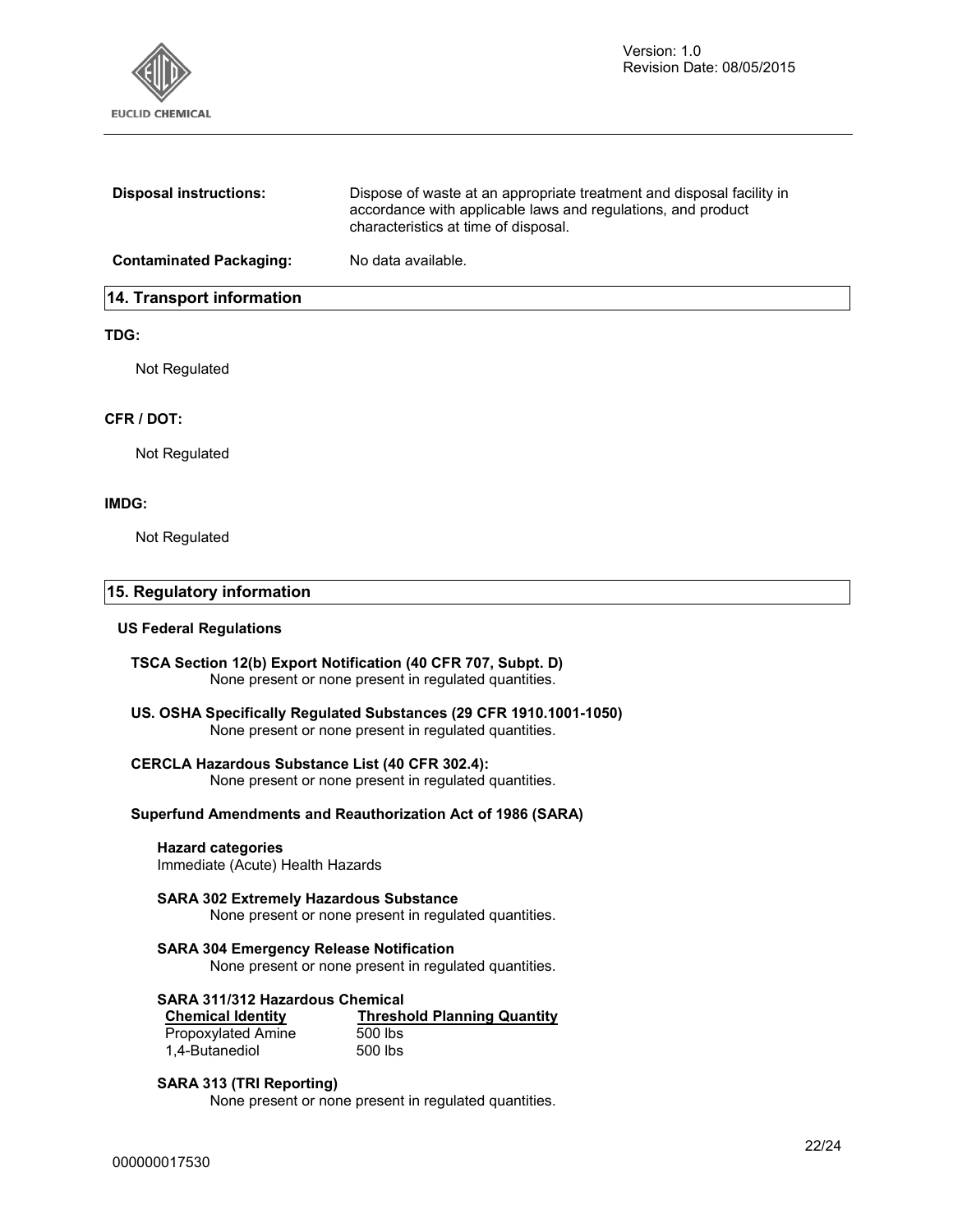

| <b>Disposal instructions:</b>    | Dispose of waste at an appropriate treatment and disposal facility in<br>accordance with applicable laws and regulations, and product<br>characteristics at time of disposal. |  |
|----------------------------------|-------------------------------------------------------------------------------------------------------------------------------------------------------------------------------|--|
| <b>Contaminated Packaging:</b>   | No data available.                                                                                                                                                            |  |
| <b>14. Transport information</b> |                                                                                                                                                                               |  |

#### **TDG:**

Not Regulated

#### **CFR / DOT:**

Not Regulated

#### **IMDG:**

Not Regulated

#### **15. Regulatory information**

#### **US Federal Regulations**

- **TSCA Section 12(b) Export Notification (40 CFR 707, Subpt. D)**  None present or none present in regulated quantities.
- **US. OSHA Specifically Regulated Substances (29 CFR 1910.1001-1050)**  None present or none present in regulated quantities.

#### **CERCLA Hazardous Substance List (40 CFR 302.4):**

None present or none present in regulated quantities.

#### **Superfund Amendments and Reauthorization Act of 1986 (SARA)**

#### **Hazard categories**

Immediate (Acute) Health Hazards

#### **SARA 302 Extremely Hazardous Substance**

None present or none present in regulated quantities.

#### **SARA 304 Emergency Release Notification**

None present or none present in regulated quantities.

#### **SARA 311/312 Hazardous Chemical**

| <b>Chemical Identity</b>  | <b>Threshold Planning Quantity</b> |
|---------------------------|------------------------------------|
| <b>Propoxylated Amine</b> | 500 lbs                            |
| 1,4-Butanediol            | 500 lbs                            |

#### **SARA 313 (TRI Reporting)**

None present or none present in regulated quantities.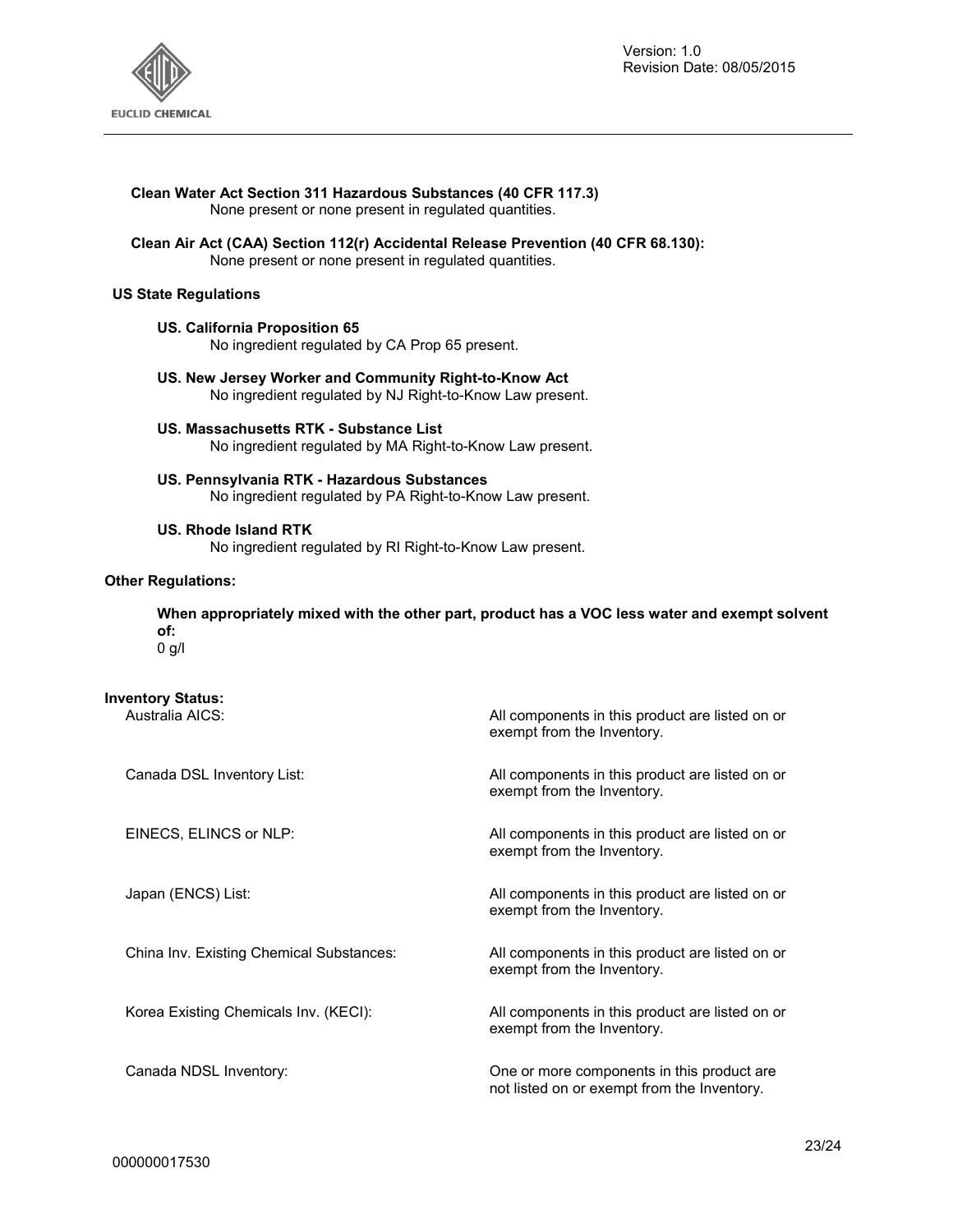

#### **Clean Water Act Section 311 Hazardous Substances (40 CFR 117.3)**

None present or none present in regulated quantities.

**Clean Air Act (CAA) Section 112(r) Accidental Release Prevention (40 CFR 68.130):**  None present or none present in regulated quantities.

#### **US State Regulations**

#### **US. California Proposition 65**

No ingredient regulated by CA Prop 65 present.

- **US. New Jersey Worker and Community Right-to-Know Act**  No ingredient regulated by NJ Right-to-Know Law present.
- **US. Massachusetts RTK Substance List**  No ingredient regulated by MA Right-to-Know Law present.
- **US. Pennsylvania RTK Hazardous Substances**  No ingredient regulated by PA Right-to-Know Law present.

#### **US. Rhode Island RTK**

No ingredient regulated by RI Right-to-Know Law present.

#### **Other Regulations:**

**When appropriately mixed with the other part, product has a VOC less water and exempt solvent of:**  0 g/l

#### **Inventory Status:**

| Australia AICS:                          | All components in this product are listed on or<br>exempt from the Inventory.              |
|------------------------------------------|--------------------------------------------------------------------------------------------|
| Canada DSL Inventory List:               | All components in this product are listed on or<br>exempt from the Inventory.              |
| EINECS, ELINCS or NLP:                   | All components in this product are listed on or<br>exempt from the Inventory.              |
| Japan (ENCS) List:                       | All components in this product are listed on or<br>exempt from the Inventory.              |
| China Inv. Existing Chemical Substances: | All components in this product are listed on or<br>exempt from the Inventory.              |
| Korea Existing Chemicals Inv. (KECI):    | All components in this product are listed on or<br>exempt from the Inventory.              |
| Canada NDSL Inventory:                   | One or more components in this product are.<br>not listed on or exempt from the Inventory. |